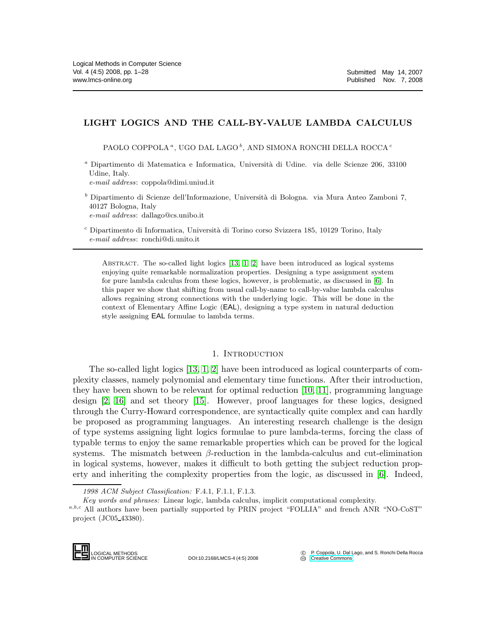# LIGHT LOGICS AND THE CALL-BY-VALUE LAMBDA CALCULUS

PAOLO COPPOLA $^a,$ UGO DAL LAGO $^b,$ AND SIMONA RONCHI DELLA ROCCA $^c$ 

<sup>a</sup> Dipartimento di Matematica e Informatica, Università di Udine. via delle Scienze 206, 33100 Udine, Italy.

e-mail address: coppola@dimi.uniud.it

 $^b$  Dipartimento di Scienze dell'Informazione, Università di Bologna. via Mura Anteo Zamboni 7, 40127 Bologna, Italy e-mail address: dallago@cs.unibo.it

 $c$  Dipartimento di Informatica, Università di Torino corso Svizzera 185, 10129 Torino, Italy e-mail address: ronchi@di.unito.it

ABSTRACT. The so-called light logics  $[13, 1, 2]$  $[13, 1, 2]$  $[13, 1, 2]$  have been introduced as logical systems enjoying quite remarkable normalization properties. Designing a type assignment system for pure lambda calculus from these logics, however, is problematic, as discussed in [\[6\]](#page-26-3). In this paper we show that shifting from usual call-by-name to call-by-value lambda calculus allows regaining strong connections with the underlying logic. This will be done in the context of Elementary Affine Logic (EAL), designing a type system in natural deduction style assigning EAL formulae to lambda terms.

# 1. INTRODUCTION

The so-called light logics [\[13,](#page-26-0) [1,](#page-26-1) [2\]](#page-26-2) have been introduced as logical counterparts of complexity classes, namely polynomial and elementary time functions. After their introduction, they have been shown to be relevant for optimal reduction [\[10,](#page-26-4) [11\]](#page-26-5), programming language design [\[2,](#page-26-2) [16\]](#page-27-0) and set theory [\[15\]](#page-27-1). However, proof languages for these logics, designed through the Curry-Howard correspondence, are syntactically quite complex and can hardly be proposed as programming languages. An interesting research challenge is the design of type systems assigning light logics formulae to pure lambda-terms, forcing the class of typable terms to enjoy the same remarkable properties which can be proved for the logical systems. The mismatch between  $\beta$ -reduction in the lambda-calculus and cut-elimination in logical systems, however, makes it difficult to both getting the subject reduction property and inheriting the complexity properties from the logic, as discussed in [\[6\]](#page-26-3). Indeed,

1998 ACM Subject Classification: F.4.1, F.1.1, F.1.3.

Key words and phrases: Linear logic, lambda calculus, implicit computational complexity.

 $a,b,c$  All authors have been partially supported by PRIN project "FOLLIA" and french ANR "NO-CoST" project (JC05 43380).



DOI:10.2168/LMCS-4 (4:5) 2008

 c P. Coppola, U. Dal Lago, and S. Ronchi Della Rocca **CC** [Creative Commons](http://creativecommons.org/about/licenses)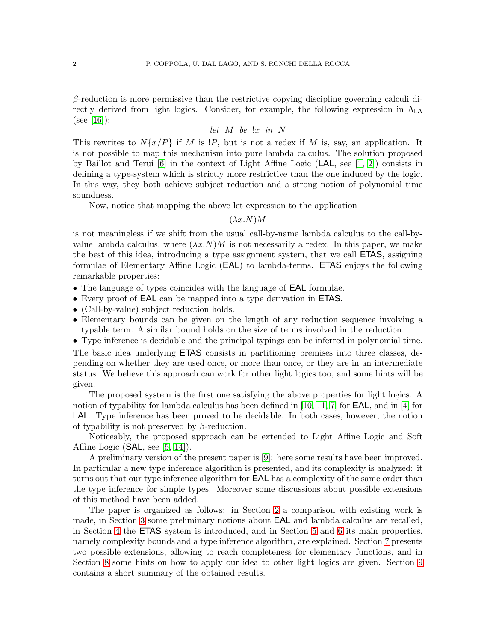$\beta$ -reduction is more permissive than the restrictive copying discipline governing calculi directly derived from light logics. Consider, for example, the following expression in  $\Lambda_{\mathsf{LA}}$  $(see [16])$  $(see [16])$  $(see [16])$ :

# *let* M *be* !x *in* N

This rewrites to  $N\{x/P\}$  if M is  $\mathcal{P}$ , but is not a redex if M is, say, an application. It is not possible to map this mechanism into pure lambda calculus. The solution proposed by Baillot and Terui  $[6]$  in the context of Light Affine Logic (LAL, see  $[1, 2]$  $[1, 2]$ ) consists in defining a type-system which is strictly more restrictive than the one induced by the logic. In this way, they both achieve subject reduction and a strong notion of polynomial time soundness.

Now, notice that mapping the above let expression to the application

### $(\lambda x.N)M$

is not meaningless if we shift from the usual call-by-name lambda calculus to the call-byvalue lambda calculus, where  $(\lambda x.N)M$  is not necessarily a redex. In this paper, we make the best of this idea, introducing a type assignment system, that we call ETAS, assigning formulae of Elementary Affine Logic (EAL) to lambda-terms. ETAS enjoys the following remarkable properties:

- The language of types coincides with the language of EAL formulae.
- Every proof of EAL can be mapped into a type derivation in ETAS.
- (Call-by-value) subject reduction holds.
- Elementary bounds can be given on the length of any reduction sequence involving a typable term. A similar bound holds on the size of terms involved in the reduction.
- Type inference is decidable and the principal typings can be inferred in polynomial time.

The basic idea underlying ETAS consists in partitioning premises into three classes, depending on whether they are used once, or more than once, or they are in an intermediate status. We believe this approach can work for other light logics too, and some hints will be given.

The proposed system is the first one satisfying the above properties for light logics. A notion of typability for lambda calculus has been defined in [\[10,](#page-26-4) [11,](#page-26-5) [7\]](#page-26-6) for EAL, and in [\[4\]](#page-26-7) for LAL. Type inference has been proved to be decidable. In both cases, however, the notion of typability is not preserved by  $\beta$ -reduction.

Noticeably, the proposed approach can be extended to Light Affine Logic and Soft Affine Logic  $(SAL, \text{see } [5, 14])$  $(SAL, \text{see } [5, 14])$  $(SAL, \text{see } [5, 14])$  $(SAL, \text{see } [5, 14])$ .

A preliminary version of the present paper is [\[9\]](#page-26-9): here some results have been improved. In particular a new type inference algorithm is presented, and its complexity is analyzed: it turns out that our type inference algorithm for EAL has a complexity of the same order than the type inference for simple types. Moreover some discussions about possible extensions of this method have been added.

The paper is organized as follows: in Section [2](#page-2-0) a comparison with existing work is made, in Section [3](#page-2-1) some preliminary notions about EAL and lambda calculus are recalled, in Section [4](#page-5-0) the ETAS system is introduced, and in Section [5](#page-10-0) and [6](#page-15-0) its main properties, namely complexity bounds and a type inference algorithm, are explained. Section [7](#page-22-0) presents two possible extensions, allowing to reach completeness for elementary functions, and in Section [8](#page-25-0) some hints on how to apply our idea to other light logics are given. Section [9](#page-26-10) contains a short summary of the obtained results.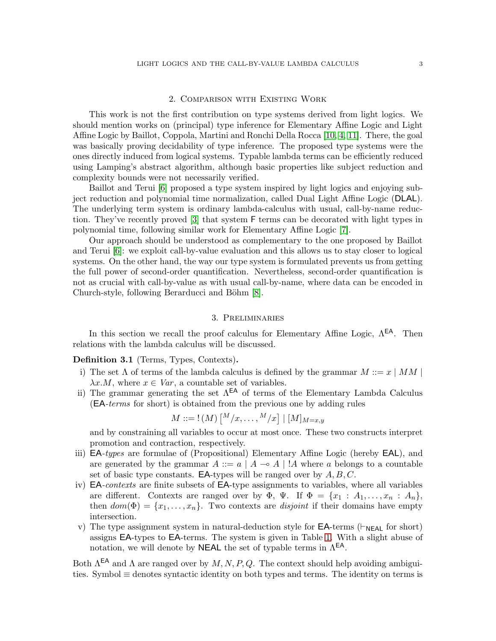### 2. Comparison with Existing Work

<span id="page-2-0"></span>This work is not the first contribution on type systems derived from light logics. We should mention works on (principal) type inference for Elementary Affine Logic and Light Affine Logic by Baillot, Coppola, Martini and Ronchi Della Rocca [\[10,](#page-26-4) [4,](#page-26-7) [11\]](#page-26-5). There, the goal was basically proving decidability of type inference. The proposed type systems were the ones directly induced from logical systems. Typable lambda terms can be efficiently reduced using Lamping's abstract algorithm, although basic properties like subject reduction and complexity bounds were not necessarily verified.

Baillot and Terui [\[6\]](#page-26-3) proposed a type system inspired by light logics and enjoying subject reduction and polynomial time normalization, called Dual Light Affine Logic (DLAL). The underlying term system is ordinary lambda-calculus with usual, call-by-name reduction. They've recently proved [\[3\]](#page-26-11) that system F terms can be decorated with light types in polynomial time, following similar work for Elementary Affine Logic [\[7\]](#page-26-6).

Our approach should be understood as complementary to the one proposed by Baillot and Terui [\[6\]](#page-26-3): we exploit call-by-value evaluation and this allows us to stay closer to logical systems. On the other hand, the way our type system is formulated prevents us from getting the full power of second-order quantification. Nevertheless, second-order quantification is not as crucial with call-by-value as with usual call-by-name, where data can be encoded in Church-style, following Berarducci and Böhm [\[8\]](#page-26-12).

### 3. Preliminaries

<span id="page-2-1"></span>In this section we recall the proof calculus for Elementary Affine Logic,  $\Lambda^{EA}$ . Then relations with the lambda calculus will be discussed.

Definition 3.1 (Terms, Types, Contexts).

- i) The set  $\Lambda$  of terms of the lambda calculus is defined by the grammar  $M ::= x \mid MM \mid$  $\lambda x.M$ , where  $x \in Var$ , a countable set of variables.
- ii) The grammar generating the set  $\Lambda^{\text{EA}}$  of terms of the Elementary Lambda Calculus (EA*-terms* for short) is obtained from the previous one by adding rules

$$
M ::= !(M) \left[ \begin{matrix} M/ x , \ldots , M/x \end{matrix} \right] | [M]_{M=x,y}
$$

and by constraining all variables to occur at most once. These two constructs interpret promotion and contraction, respectively.

- iii) EA*-types* are formulae of (Propositional) Elementary Affine Logic (hereby EAL), and are generated by the grammar  $A ::= a | A \rightarrow A | A$  where a belongs to a countable set of basic type constants. **EA-types** will be ranged over by  $A, B, C$ .
- iv) EA*-contexts* are finite subsets of EA-type assignments to variables, where all variables are different. Contexts are ranged over by  $\Phi$ ,  $\Psi$ . If  $\Phi = \{x_1 : A_1, \ldots, x_n : A_n\}$ , then  $dom(\Phi) = \{x_1, \ldots, x_n\}$ . Two contexts are *disjoint* if their domains have empty intersection.
- v) The type assignment system in natural-deduction style for  $\mathsf{EA}\text{-terms}$  ( $\vdash_{\mathsf{NEAL}}$  for short) assigns EA-types to EA-terms. The system is given in Table [1.](#page-3-0) With a slight abuse of notation, we will denote by **NEAL** the set of typable terms in  $\Lambda^{EA}$ .

Both  $\Lambda^{EA}$  and  $\Lambda$  are ranged over by  $M, N, P, Q$ . The context should help avoiding ambiguities. Symbol ≡ denotes syntactic identity on both types and terms. The identity on terms is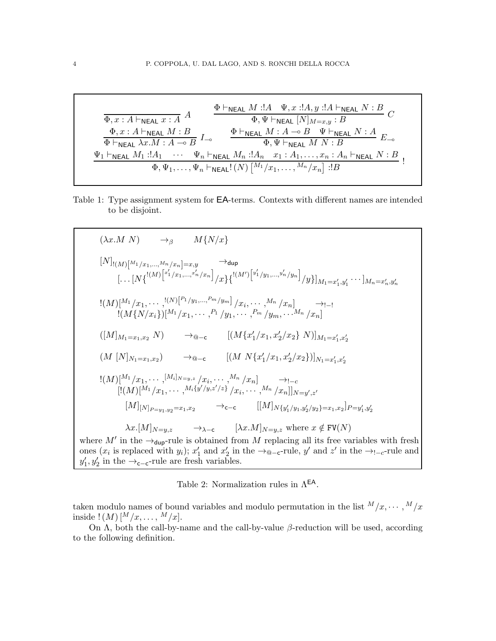$$
\frac{\Phi \vdash_{\mathsf{NEAL}} M \mathrel{:} A \quad \Psi, x \mathrel{:} A, y \mathrel{:} A \vdash_{\mathsf{NEAL}} N \mathrel{:} B}{\Phi, x \mathrel{:} A \vdash_{\mathsf{NEAL}} M \mathrel{:} A} \quad \frac{\Phi \vdash_{\mathsf{NEAL}} M \mathrel{:} A \quad \Psi, x \mathrel{:} A, y \mathrel{:} A \vdash_{\mathsf{NEAL}} N \mathrel{:} B}{\Phi \vdash_{\mathsf{NEAL}} M \mathrel{:} B} \quad C
$$
\n
$$
\frac{\Phi, x \mathrel{:} A \vdash_{\mathsf{NEAL}} M \mathrel{:} B}{\Phi \vdash_{\mathsf{NEAL}} M \mathrel{:} A \multimap B} \quad \frac{\Phi \vdash_{\mathsf{NEAL}} M \mathrel{:} A \multimap B \quad \Psi \vdash_{\mathsf{NEAL}} N \mathrel{:} A}{\Phi, \Psi \vdash_{\mathsf{NEAL}} M \quad N \mathrel{:} B} \quad E_{\multimap}
$$
\n
$$
\frac{\Psi_1 \vdash_{\mathsf{NEAL}} M_1 \mathrel{:} A_1 \quad \cdots \quad \Psi_n \vdash_{\mathsf{NEAL}} M_n \mathrel{:} A_n \quad x_1 \mathrel{:} A_1, \ldots, x_n \mathrel{:} A_n \vdash_{\mathsf{NEAL}} N \mathrel{:} B}{\Phi, \Psi_1, \ldots, \Psi_n \vdash_{\mathsf{NEAL}}! (N) \left[ \frac{M_1}{x_1}, \ldots, \frac{M_n}{x_n} \right] \mathrel{:} B} \quad \mathrel{!} B
$$

<span id="page-3-0"></span>Table 1: Type assignment system for EA-terms. Contexts with different names are intended to be disjoint.

$$
(\lambda x.M \ N) \rightarrow_{\beta} M\{N/x\}
$$
\n
$$
[N]_{!(M)}[M_{1/x_{1},...,M_{n}/x_{n}}] = x,y \rightarrow_{\text{dup}}
$$
\n
$$
[... [N\{^{(M)}[{}^{x'_{1}}/x_{1},...,{}^{x'_{n}}/x_{n}]} / x\}\{^{(M')}[{}^{y'_{1}}/y_{1},...,{}^{y'_{n}}/y_{n}]} / y\}]_{M_{1}=x'_{1},y'_{1}} \cdots]_{M_{n}=x'_{n},y'_{n}}
$$
\n
$$
!(M)[^{M_{1}}/x_{1},...,{}^{(N)}[{}^{P_{1}}/y_{1},...,{}^{P_{m}}/y_{m}]} / x_{i},...,{}^{M_{n}}/x_{n}] \rightarrow_{l=1}
$$
\n
$$
[(M\{N/x_{i}\})[{}^{M_{1}}/x_{1},...,{}^{P_{1}}/y_{1},...,{}^{P_{m}}/y_{m},...,{}^{M_{n}}/x_{n}]
$$
\n
$$
([M]_{M_{1}=x_{1},x_{2}} N) \rightarrow_{\text{Q}-\text{c}} [(M\{x'_{1}/x_{1},x'_{2}/x_{2}\} N)]_{M_{1}=x'_{1},x'_{2}}
$$
\n
$$
[(M)[^{M_{1}}/x_{1},...,{}^{[M_{i}]N=y,z}/x_{i},...,{}^{M_{n}}/x_{n}] \rightarrow_{l=c}
$$
\n
$$
[(M)[^{M_{1}}/x_{1},...,{}^{[M_{i}]N=y,z}/x_{i},...,{}^{M_{n}}/x_{n}] \rightarrow_{l=c}
$$
\n
$$
[(M)[^{M_{1}}/x_{1},...,{}^{M_{i}\{y'/y,z'/z\}}/x_{i},...,{}^{M_{n}}/x_{n}]|_{N=y',z'}
$$
\n
$$
[M]_{N=p-y_{1},y_{2}=x_{1},x_{2}} \rightarrow_{\text{c}-\text{c}} [(M]_{N\{y'_{1}/y_{1},y'_{2}/y_{2}\}=x_{1},x_{2}]_{P=y'_{1},y'_{2}}
$$
\n
$$
\lambda x.[M]_{N=y,z} \rightarrow_{\lambda-\text{c}} [\lambda x.M]_{N=y,z} \text{ where } x \notin \text{FV}(N)
$$
\nwhere  $M'$  in the  $\rightarrow_{\text{dup}}$ -rule is obtained from <

ones  $(x_i$  is replaced with  $y_i$ );  $x'_1$  and  $x'_2$  in  $y'_1, y'_2$  in the  $\rightarrow_{\text{c-c}}$ -rule are fresh variables.

<span id="page-3-1"></span>Table 2: Normalization rules in  $\Lambda^{\textsf{EA}}.$ 

taken modulo names of bound variables and modulo permutation in the list  $^{M}/x, \cdots, ^{M}/x$ inside !  $(M)$   $[{^M}/x, \ldots, \, {^M}/x].$ 

On  $\Lambda$ , both the call-by-name and the call-by-value  $\beta$ -reduction will be used, according to the following definition.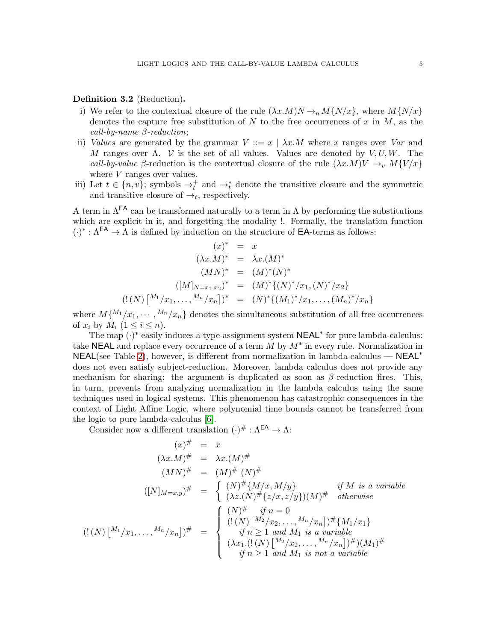### Definition 3.2 (Reduction).

- i) We refer to the contextual closure of the rule  $(\lambda x.M)N \rightarrow_n M\{N/x\}$ , where  $M\{N/x\}$ denotes the capture free substitution of N to the free occurrences of x in M, as the *call-by-name* β*-reduction*;
- ii) *Values* are generated by the grammar  $V ::= x \mid \lambda x.M$  where x ranges over *Var* and M ranges over  $\Lambda$ . V is the set of all values. Values are denoted by V, U, W. The *call-by-value* β-reduction is the contextual closure of the rule  $(\lambda x.M)V \rightarrow_v M{V /x}$ where *V* ranges over values.
- iii) Let  $t \in \{n, v\}$ ; symbols  $\rightarrow_t^+$  and  $\rightarrow_t^*$  denote the transitive closure and the symmetric and transitive closure of  $\rightarrow_t$ , respectively.

A term in  $\Lambda^{EA}$  can be transformed naturally to a term in  $\Lambda$  by performing the substitutions which are explicit in it, and forgetting the modality !. Formally, the translation function  $(\cdot)^* : \Lambda^{\text{EA}} \to \Lambda$  is defined by induction on the structure of **EA**-terms as follows:

$$
(x)^{*} = x
$$
  
\n
$$
(\lambda x.M)^{*} = \lambda x.(M)^{*}
$$
  
\n
$$
(MN)^{*} = (M)^{*}(N)^{*}
$$
  
\n
$$
([M]_{N=x_{1},x_{2}})^{*} = (M)^{*}\{(N)^{*}/x_{1}, (N)^{*}/x_{2}\}
$$
  
\n
$$
(! (N) [^{M_{1}}/x_{1},...,^{M_{n}}/x_{n}])^{*} = (N)^{*}\{(M_{1})^{*}/x_{1},..., (M_{n})^{*}/x_{n}\}
$$

where  $M\{M_1/x_1,\dots,M_n/x_n\}$  denotes the simultaneous substitution of all free occurrences of  $x_i$  by  $M_i$   $(1 \leq i \leq n)$ .

The map  $(\cdot)^*$  easily induces a type-assignment system  $NEAL^*$  for pure lambda-calculus: take NEAL and replace every occurrence of a term  $M$  by  $M^*$  in every rule. Normalization in NEAL(see Table [2\)](#page-3-1), however, is different from normalization in lambda-calculus — NEAL<sup>∗</sup> does not even satisfy subject-reduction. Moreover, lambda calculus does not provide any mechanism for sharing: the argument is duplicated as soon as  $\beta$ -reduction fires. This, in turn, prevents from analyzing normalization in the lambda calculus using the same techniques used in logical systems. This phenomenon has catastrophic consequences in the context of Light Affine Logic, where polynomial time bounds cannot be transferred from the logic to pure lambda-calculus [\[6\]](#page-26-3).

Consider now a different translation  $(\cdot)^\# : \Lambda^{\text{EA}} \to \Lambda$ :

$$
(x)^{\#} = x
$$
  
\n
$$
(\lambda x.M)^{\#} = \lambda x.(M)^{\#}
$$
  
\n
$$
(MN)^{\#} = (M)^{\#}(N)^{\#}
$$
  
\n
$$
([N]_{M=x,y})^{\#} = \begin{cases} (N)^{\#}\{M/x, M/y\} & \text{if } M \text{ is a variable} \\ (\lambda z.(N)^{\#}\{z/x, z/y\})(M)^{\#} & \text{otherwise} \end{cases}
$$
  
\n
$$
((N)^{M_1}/x_1, ..., M_n/x_n])^{\#} = \begin{cases} (N)^{\#} & \text{if } n = 0 \\ (!(N)^{M_2}/x_2, ..., M_n/x_n])^{\#}\{M_1/x_1\} \\ & \text{if } n \ge 1 \text{ and } M_1 \text{ is a variable} \\ (\lambda x_1.(!(N)^{M_2}/x_2, ..., M_n/x_n])^{\#})(M_1)^{\#} \\ & \text{if } n \ge 1 \text{ and } M_1 \text{ is not a variable} \end{cases}
$$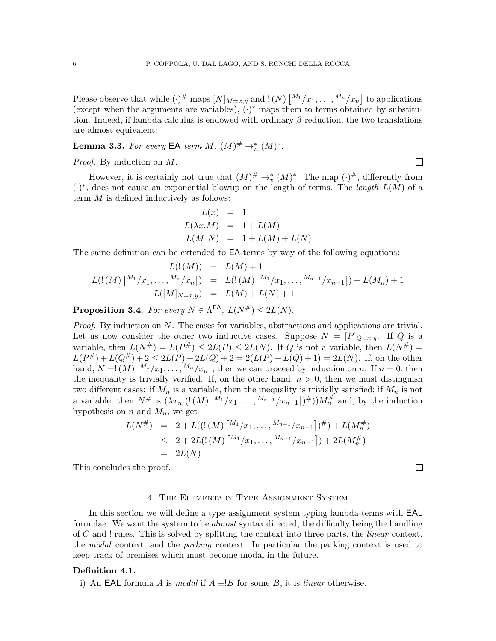Please observe that while  $(\cdot)^{\#}$  maps  $[N]_{M=x,y}$  and  $!(N)$   $\left[\frac{M_1}{x_1}, \dots, \frac{M_n}{x_n}\right]$  to applications (except when the arguments are variables),  $(\cdot)^*$  maps them to terms obtained by substitution. Indeed, if lambda calculus is endowed with ordinary  $\beta$ -reduction, the two translations are almost equivalent:

**Lemma 3.3.** *For every* **EA**-term  $M$ ,  $(M)^{\#} \to_{n}^{*} (M)^{*}$ .

*Proof.* By induction on M.

However, it is certainly not true that  $(M)^\# \to_v^* (M)^*$ . The map  $(\cdot)^\#$ , differently from (·) ∗ , does not cause an exponential blowup on the length of terms. The *length* L(M) of a term M is defined inductively as follows:

$$
L(x) = 1
$$
  
\n
$$
L(\lambda x.M) = 1 + L(M)
$$
  
\n
$$
L(M \ N) = 1 + L(M) + L(N)
$$

The same definition can be extended to EA-terms by way of the following equations:

$$
L(!(M)) = L(M) + 1
$$
  
\n
$$
L(!(M) \begin{bmatrix} M_1/x_1, \dots, M_n/x_n \end{bmatrix}) = L(!(M) \begin{bmatrix} M_1/x_1, \dots, M_{n-1}/x_{n-1} \end{bmatrix}) + L(M_n) + 1
$$
  
\n
$$
L([M]_{N=x,y}) = L(M) + L(N) + 1
$$

**Proposition 3.4.** *For every*  $N \in \Lambda^{\text{EA}}$ ,  $L(N^{\#}) \leq 2L(N)$ *.* 

*Proof.* By induction on N. The cases for variables, abstractions and applications are trivial. Let us now consider the other two inductive cases. Suppose  $N = [P]_{Q=x,y}$ . If Q is a variable, then  $L(N^{\#}) = L(P^{\#}) \leq 2L(P) \leq 2L(N)$ . If Q is not a variable, then  $L(N^{\#}) =$  $L(P^{\#}) + L(Q^{\#}) + 2 \leq 2L(P) + 2L(Q) + 2 = 2(L(P) + L(Q) + 1) = 2L(N)$ . If, on the other hand,  $N = \{ (M) \binom{M_1}{x_1}, \ldots, M_n}{x_n},$  then we can proceed by induction on n. If  $n = 0$ , then the inequality is trivially verified. If, on the other hand,  $n > 0$ , then we must distinguish two different cases: if  $M_n$  is a variable, then the inequality is trivially satisfied; if  $M_n$  is not a variable, then  $N^{\#}$  is  $(\lambda x_n.((M) \begin{bmatrix} M_1/x_1, \ldots, M_{n-1}/x_{n-1} \end{bmatrix})^{\#}))M_n^{\#}$  and, by the induction hypothesis on n and  $M_n$ , we get

$$
L(N^{\#}) = 2 + L(((M) \binom{M_1}{x_1}, \dots, \binom{M_{n-1}}{x_{n-1}})^{\#}) + L(M_n^{\#})
$$
  
\n
$$
\leq 2 + 2L(!(M) \binom{M_1}{x_1}, \dots, \binom{M_{n-1}}{x_{n-1}}) + 2L(M_n^{\#})
$$
  
\n
$$
= 2L(N)
$$

<span id="page-5-0"></span>This concludes the proof.

#### $\Box$

 $\Box$ 

#### 4. The Elementary Type Assignment System

In this section we will define a type assignment system typing lambda-terms with EAL formulae. We want the system to be *almost* syntax directed, the difficulty being the handling of C and ! rules. This is solved by splitting the context into three parts, the *linear* context, the *modal* context, and the *parking* context. In particular the parking context is used to keep track of premises which must become modal in the future.

#### Definition 4.1.

i) An **EAL** formula A is *modal* if  $A \equiv B$  for some B, it is *linear* otherwise.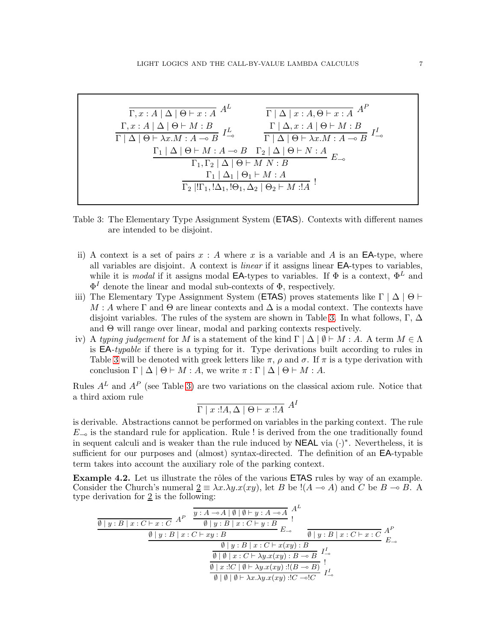$$
\frac{\Gamma, x:A \mid \Delta \mid \Theta \vdash x:A \quad A^{L}}{\Gamma \mid \Delta \mid x:A, \Theta \vdash x:A \quad A^{P}}
$$
\n
$$
\frac{\Gamma, x:A \mid \Delta \mid \Theta \vdash M:B}{\Gamma \mid \Delta \mid \Theta \vdash \lambda x.M : A \multimap B} \quad I_{\multimap}^{L} \qquad \frac{\Gamma \mid \Delta, x:A \mid \Theta \vdash M:B}{\Gamma \mid \Delta \mid \Theta \vdash \lambda x.M : A \multimap B \quad I_{\multimap}^{L}}
$$
\n
$$
\frac{\Gamma_{1} \mid \Delta \mid \Theta \vdash M:A \multimap B \quad \Gamma_{2} \mid \Delta \mid \Theta \vdash N:A}{\Gamma_{1}, \Gamma_{2} \mid \Delta \mid \Theta \vdash M N:B} \quad E_{\multimap}
$$
\n
$$
\frac{\Gamma_{1} \mid \Delta_{1} \mid \Theta_{1} \vdash M:A}{\Gamma_{2} \mid !\Gamma_{1}, !\Delta_{1}, !\Theta_{1}, \Delta_{2} \mid \Theta_{2} \vdash M:!A} \quad I_{\multimap}
$$

<span id="page-6-0"></span>Table 3: The Elementary Type Assignment System (ETAS). Contexts with different names are intended to be disjoint.

- ii) A context is a set of pairs  $x : A$  where x is a variable and A is an **EA**-type, where all variables are disjoint. A context is *linear* if it assigns linear EA-types to variables, while it is *modal* if it assigns modal **EA**-types to variables. If  $\Phi$  is a context,  $\Phi^L$  and  $\Phi^I$  denote the linear and modal sub-contexts of  $\Phi$ , respectively.
- iii) The Elementary Type Assignment System (**ETAS**) proves statements like  $\Gamma | \Delta | \Theta \vdash$  $M : A$  where  $\Gamma$  and  $\Theta$  are linear contexts and  $\Delta$  is a modal context. The contexts have disjoint variables. The rules of the system are shown in Table [3.](#page-6-0) In what follows,  $\Gamma, \Delta$ and  $\Theta$  will range over linear, modal and parking contexts respectively.
- iv) A *typing judgement* for M is a statement of the kind  $\Gamma | \Delta | \emptyset \vdash M : A$ . A term  $M \in \Lambda$ is EA*-typable* if there is a typing for it. Type derivations built according to rules in Table [3](#page-6-0) will be denoted with greek letters like  $\pi$ ,  $\rho$  and  $\sigma$ . If  $\pi$  is a type derivation with conclusion  $\Gamma | \Delta | \Theta \vdash M : A$ , we write  $\pi : \Gamma | \Delta | \Theta \vdash M : A$ .

Rules  $A<sup>L</sup>$  and  $A<sup>P</sup>$  (see Table [3\)](#page-6-0) are two variations on the classical axiom rule. Notice that a third axiom rule

$$
\Gamma \mid x : A, \Delta \mid \Theta \vdash x : A
$$

is derivable. Abstractions cannot be performed on variables in the parking context. The rule  $E_{\text{eq}}$  is the standard rule for application. Rule ! is derived from the one traditionally found in sequent calculi and is weaker than the rule induced by  $NEAL$  via  $(\cdot)^*$ . Nevertheless, it is sufficient for our purposes and (almost) syntax-directed. The definition of an EA-typable term takes into account the auxiliary role of the parking context.

<span id="page-6-1"></span>**Example 4.2.** Let us illustrate the rôles of the various **ETAS** rules by way of an example. Consider the Church's numeral  $\underline{2} \equiv \lambda x.\lambda y.x(xy)$ , let B be !( $A \rightarrow A$ ) and C be B  $\rightarrow$  B. A type derivation for  $2$  is the following:

$$
\frac{\emptyset \mid y:B \mid x:C \vdash x:C} \stackrel{P}{\longrightarrow} \frac{y:A \multimap A \mid \emptyset \mid \emptyset \vdash y:A \multimap A}{\emptyset \mid y:B \mid x:C \vdash y:B} \stackrel{A}{\longrightarrow} \frac{A^L}{E_{\multimap}}}{\emptyset \mid y:B \mid x:C \vdash xy:B} \quad \frac{\emptyset \mid y:B \mid x:C \vdash xy:B}{\emptyset \mid y:B \mid x:C \vdash x(xy):B} \quad \frac{\emptyset \mid y:B \mid x:C \vdash x(xy):B}{\emptyset \mid \emptyset \mid x:C \vdash x(xy):B \multimap B} \quad I^L_{\multimap} \quad \frac{\emptyset \mid x:[C \mid \emptyset \vdash \lambda y.x(xy):B \multimap B]}{\emptyset \mid x:[C \mid \emptyset \vdash \lambda x.\lambda y.x(xy):B \multimap B)} \quad I^L_{\multimap} \quad \frac{\emptyset \mid y:B \mid x:[C \mid \emptyset \vdash \lambda x.\lambda y.x(xy):B \multimap B)}{\emptyset \mid \emptyset \vdash \lambda x.\lambda y.x(xy):C \multimap C} \quad I^L_{\multimap}
$$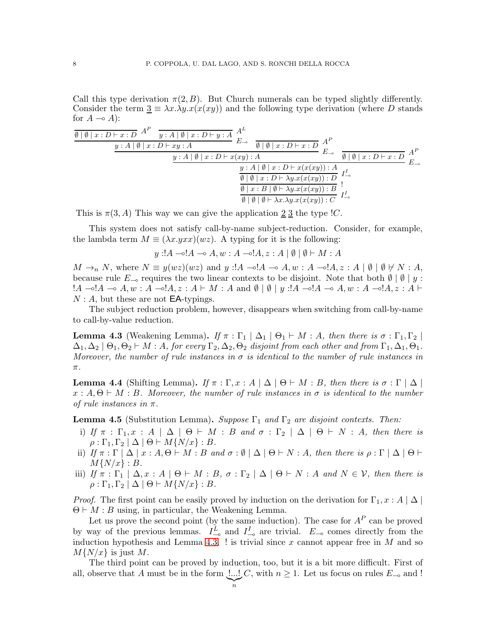Call this type derivation  $\pi(2, B)$ . But Church numerals can be typed slightly differently. Consider the term  $\underline{3} \equiv \lambda x.\lambda y.x(x(xy))$  and the following type derivation (where D stands for  $A \rightarrow A$ :

$$
\frac{\emptyset \mid \emptyset \mid x : D \vdash x : D \mid A^P \quad y : A \mid \emptyset \mid x : D \vdash y : A \mid B}{y : A \mid \emptyset \mid x : D \vdash xy : A} \xrightarrow{A^L} E_{\multimap} \quad \frac{\emptyset \mid \emptyset \mid x : D \vdash x : D}{\emptyset \mid \emptyset \mid x : D \vdash x : D} \xrightarrow{A^P} E_{\multimap} \quad \frac{\emptyset : A \mid \emptyset \mid x : D \vdash x(xy) : A}{\emptyset \mid \emptyset \mid x : D \vdash x(x(xy)) : A} \xrightarrow{I^I_{\multimap}} E_{\multimap} \quad \frac{\emptyset : A \mid \emptyset \mid x : D \vdash x(x(xy)) : A}{\emptyset \mid \emptyset \mid x : B \mid \emptyset \vdash \lambda y . x(x(xy)) : B} \xrightarrow{I^I_{\multimap}} E_{\multimap} \quad \frac{\emptyset \mid \emptyset \mid x : B \mid \emptyset \vdash \lambda y . x(x(xy)) : B}{\emptyset \mid \emptyset \mid \emptyset \vdash \lambda x . \lambda y . x(x(xy)) : C} \xrightarrow{I^I_{\multimap}}
$$

This is  $\pi(3, A)$  This way we can give the application  $\underline{2}$   $\underline{3}$  the type  $C$ .

This system does not satisfy call-by-name subject-reduction. Consider, for example, the lambda term  $M \equiv (\lambda x.yxx)(wz)$ . A typing for it is the following:

 $y: A \rightarrow A \rightarrow A, w: A \rightarrow A, z: A \mid \emptyset \mid \emptyset \vdash M: A$ 

 $M \to_n N$ , where  $N \equiv y(wz)(wz)$  and  $y : A \multimap A \to A, w : A \multimap A, z : A \mid \emptyset \mid \emptyset \not\vdash N : A$ , because rule  $E_{\multimap}$  requires the two linear contexts to be disjoint. Note that both  $\emptyset \mid \emptyset \mid y$ :  $!A \multimap A \multimap A, w : A \multimap A, z : A \vdash M : A \text{ and } \emptyset \mid \emptyset \mid y : A \multimap A \multimap A, w : A \multimap A, z : A \vdash A$  $N : A$ , but these are not **EA**-typings.

The subject reduction problem, however, disappears when switching from call-by-name to call-by-value reduction.

<span id="page-7-0"></span>**Lemma 4.3** (Weakening Lemma). *If*  $\pi : \Gamma_1 \mid \Delta_1 \mid \Theta_1 \vdash M : A$ , then there is  $\sigma : \Gamma_1, \Gamma_2 \mid$  $\Delta_1, \Delta_2 \mid \Theta_1, \Theta_2 \vdash M : A$ , for every  $\Gamma_2, \Delta_2, \Theta_2$  disjoint from each other and from  $\Gamma_1, \Delta_1, \Theta_1$ . *Moreover, the number of rule instances in* σ *is identical to the number of rule instances in* π*.*

<span id="page-7-1"></span>**Lemma 4.4** (Shifting Lemma). *If*  $\pi : \Gamma, x : A \mid \Delta \mid \Theta \vdash M : B$ , then there is  $\sigma : \Gamma \mid \Delta \mid$ x : A, Θ ⊢ M : B*. Moreover, the number of rule instances in* σ *is identical to the number of rule instances in* π*.*

<span id="page-7-2"></span>**Lemma 4.5** (Substitution Lemma). *Suppose*  $\Gamma_1$  *and*  $\Gamma_2$  *are disjoint contexts. Then:* 

- i) *If*  $\pi$  :  $\Gamma_1, x : A \mid \Delta \mid \Theta \vdash M : B$  *and*  $\sigma : \Gamma_2 \mid \Delta \mid \Theta \vdash N : A$ *, then there is*  $\rho : \Gamma_1, \Gamma_2 \mid \Delta \mid \Theta \vdash M\{N/x\} : B.$
- ii) *If*  $\pi$  :  $\Gamma$  |  $\Delta$  |  $x$  :  $A, \Theta$   $\vdash$   $M$  :  $B$  *and*  $\sigma$  :  $\emptyset$  |  $\Delta$  |  $\Theta$   $\vdash$   $N$  :  $A$ *, then there is*  $\rho$  :  $\Gamma$  |  $\Delta$  |  $\Theta$   $\vdash$  $M\{N/x\} : B.$
- iii) *If*  $\pi : \Gamma_1 \mid \Delta, x : A \mid \Theta \vdash M : B, \sigma : \Gamma_2 \mid \Delta \mid \Theta \vdash N : A \text{ and } N \in \mathcal{V}$ , then there is  $\rho : \Gamma_1, \Gamma_2 \mid \Delta \mid \Theta \vdash M\{N/x\} : B.$

*Proof.* The first point can be easily proved by induction on the derivation for  $\Gamma_1, x : A \mid \Delta$  $\Theta \vdash M : B$  using, in particular, the Weakening Lemma.

Let us prove the second point (by the same induction). The case for  $A^P$  can be proved by way of the previous lemmas.  $I_{-\infty}^L$  and  $I_{-\infty}^I$  are trivial.  $E_{-\infty}$  comes directly from the induction hypothesis and Lemma [4.3.](#page-7-0) ! is trivial since  $x$  cannot appear free in  $M$  and so  $M\{N/x\}$  is just M.

The third point can be proved by induction, too, but it is a bit more difficult. First of all, observe that  $A$  must be in the form  $\lfloor \dots \rfloor$ C, with  $n \geq 1$ . Let us focus on rules  $E_{\neg}$  and !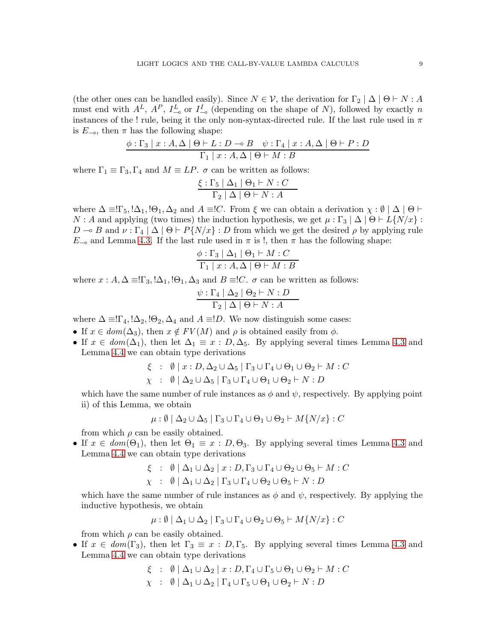(the other ones can be handled easily). Since  $N \in \mathcal{V}$ , the derivation for  $\Gamma_2 | \Delta | \Theta \vdash N : A$ must end with  $A^L$ ,  $A^P$ ,  $I^L_{\infty}$  or  $I^I_{\infty}$  (depending on the shape of N), followed by exactly n instances of the ! rule, being it the only non-syntax-directed rule. If the last rule used in  $\pi$ is  $E_{\nightharpoonup}$ , then  $\pi$  has the following shape:

$$
\frac{\phi:\Gamma_3 \mid x:A,\Delta \mid \Theta \vdash L:D \multimap B \quad \psi:\Gamma_4 \mid x:A,\Delta \mid \Theta \vdash P:D}{\Gamma_1 \mid x:A,\Delta \mid \Theta \vdash M:B}
$$

where  $\Gamma_1 \equiv \Gamma_3, \Gamma_4$  and  $M \equiv LP$ .  $\sigma$  can be written as follows:

$$
\frac{\xi : \Gamma_5 \mid \Delta_1 \mid \Theta_1 \vdash N : C}{\Gamma_2 \mid \Delta \mid \Theta \vdash N : A}
$$

where  $\Delta \equiv \Gamma_5, \Delta_1, \Theta_1, \Delta_2$  and  $A \equiv \Omega$ . From  $\xi$  we can obtain a derivation  $\chi : \emptyset \mid \Delta \mid \Theta \vdash$  $N: A$  and applying (two times) the induction hypothesis, we get  $\mu: \Gamma_3 \mid \Delta \mid \Theta \vdash L\{N/x\}$ :  $D \to B$  and  $\nu : \Gamma_4 \mid \Delta \mid \Theta \vdash P\{N/x\} : D$  from which we get the desired  $\rho$  by applying rule  $E_{\nightharpoonup}$  and Lemma [4.3.](#page-7-0) If the last rule used in  $\pi$  is !, then  $\pi$  has the following shape:

$$
\frac{\phi:\Gamma_3 \mid \Delta_1 \mid \Theta_1 \vdash M:C}{\Gamma_1 \mid x:A, \Delta \mid \Theta \vdash M:B}
$$

where  $x : A, \Delta = \Gamma_3, \Delta_1, \Theta_1, \Delta_3$  and  $B = \mathcal{C}$ .  $\sigma$  can be written as follows:

$$
\frac{\psi : \Gamma_4 | \Delta_2 | \Theta_2 \vdash N : D}{\Gamma_2 | \Delta | \Theta \vdash N : A}
$$

where  $\Delta \equiv \Gamma_4, \Delta_2, \Theta_2, \Delta_4$  and  $A \equiv D$ . We now distinguish some cases:

- If  $x \in dom(\Delta_3)$ , then  $x \notin FV(M)$  and  $\rho$  is obtained easily from  $\phi$ .
- If  $x \in dom(\Delta_1)$ , then let  $\Delta_1 \equiv x : D, \Delta_5$ . By applying several times Lemma [4.3](#page-7-0) and Lemma [4.4](#page-7-1) we can obtain type derivations

$$
\xi : \emptyset | x : D, \Delta_2 \cup \Delta_5 | \Gamma_3 \cup \Gamma_4 \cup \Theta_1 \cup \Theta_2 \vdash M : C
$$
  

$$
\chi : \emptyset | \Delta_2 \cup \Delta_5 | \Gamma_3 \cup \Gamma_4 \cup \Theta_1 \cup \Theta_2 \vdash N : D
$$

which have the same number of rule instances as  $\phi$  and  $\psi$ , respectively. By applying point ii) of this Lemma, we obtain

$$
\mu: \emptyset \mid \Delta_2 \cup \Delta_5 \mid \Gamma_3 \cup \Gamma_4 \cup \Theta_1 \cup \Theta_2 \vdash M\{N/x\} : C
$$

from which  $\rho$  can be easily obtained.

• If  $x \in dom(\Theta_1)$ , then let  $\Theta_1 \equiv x : D, \Theta_3$ . By applying several times Lemma [4.3](#page-7-0) and Lemma [4.4](#page-7-1) we can obtain type derivations

$$
\xi : \emptyset | \Delta_1 \cup \Delta_2 | x : D, \Gamma_3 \cup \Gamma_4 \cup \Theta_2 \cup \Theta_5 \vdash M : C
$$
  

$$
\chi : \emptyset | \Delta_1 \cup \Delta_2 | \Gamma_3 \cup \Gamma_4 \cup \Theta_2 \cup \Theta_5 \vdash N : D
$$

which have the same number of rule instances as  $\phi$  and  $\psi$ , respectively. By applying the inductive hypothesis, we obtain

$$
\mu: \emptyset \mid \Delta_1 \cup \Delta_2 \mid \Gamma_3 \cup \Gamma_4 \cup \Theta_2 \cup \Theta_5 \vdash M\{N/x\} : C
$$

from which  $\rho$  can be easily obtained.

• If  $x \in dom(\Gamma_3)$ , then let  $\Gamma_3 \equiv x : D, \Gamma_5$ . By applying several times Lemma [4.3](#page-7-0) and Lemma [4.4](#page-7-1) we can obtain type derivations

$$
\xi : \emptyset | \Delta_1 \cup \Delta_2 | x : D, \Gamma_4 \cup \Gamma_5 \cup \Theta_1 \cup \Theta_2 \vdash M : C
$$
  

$$
\chi : \emptyset | \Delta_1 \cup \Delta_2 | \Gamma_4 \cup \Gamma_5 \cup \Theta_1 \cup \Theta_2 \vdash N : D
$$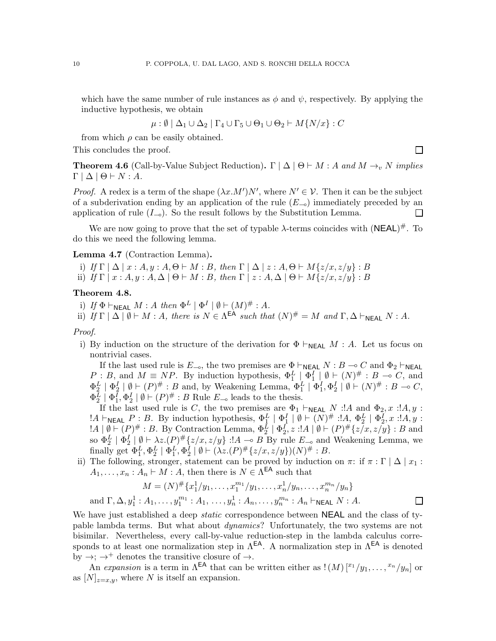which have the same number of rule instances as  $\phi$  and  $\psi$ , respectively. By applying the inductive hypothesis, we obtain

$$
\mu: \emptyset \mid \Delta_1 \cup \Delta_2 \mid \Gamma_4 \cup \Gamma_5 \cup \Theta_1 \cup \Theta_2 \vdash M\{N/x\} : C
$$

from which  $\rho$  can be easily obtained.

This concludes the proof.

<span id="page-9-0"></span>**Theorem 4.6** (Call-by-Value Subject Reduction). Γ  $\mid \Delta \mid \Theta \vdash M : A$  *and*  $M \rightarrow_v N$  *implies*  $\Gamma | \Delta | \Theta \vdash N : A.$ 

 $\Box$ 

*Proof.* A redex is a term of the shape  $(\lambda x.M')N'$ , where  $N' \in \mathcal{V}$ . Then it can be the subject of a subderivation ending by an application of the rule  $(E_{-o})$  immediately preceded by an application of rule  $(I_{\nightharpoonup})$ . So the result follows by the Substitution Lemma. П

We are now going to prove that the set of typable  $\lambda$ -terms coincides with  $(\mathsf{NEAL})^{\#}$ . To do this we need the following lemma.

#### Lemma 4.7 (Contraction Lemma).

- i) *If*  $\Gamma | \Delta | x : A, y : A, \Theta \vdash M : B$ *, then*  $\Gamma | \Delta | z : A, \Theta \vdash M\{z/x, z/y\} : B$
- ii) *If*  $\Gamma | x : A, y : A, \Delta | \Theta \vdash M : B$ *, then*  $\Gamma | z : A, \Delta | \Theta \vdash M \{z/x, z/y\} : B$

# Theorem 4.8.

- i) *If*  $\Phi \vdash_{\mathsf{NEAL}} M : A \text{ then } \Phi^L \mid \Phi^I \mid \emptyset \vdash (M)^\# : A$ .
- ii) *If*  $\Gamma | \Delta | \emptyset \vdash M : A$ *, there is*  $N \in \Lambda^{\text{EA}}$  *such that*  $(N)^{\#} = M$  *and*  $\Gamma, \Delta \vdash_{\text{NEAL}} N : A$ *.*

#### *Proof.*

and

i) By induction on the structure of the derivation for  $\Phi \vdash_{\mathsf{NEAL}} M : A$ . Let us focus on nontrivial cases.

If the last used rule is  $E_{\nightharpoonup}$ , the two premises are  $\Phi \vdash_{\mathsf{NEAL}} N : B \multimap C$  and  $\Phi_2 \vdash_{\mathsf{NEAL}}$  $P: B$ , and  $M \equiv NP$ . By induction hypothesis,  $\Phi_1^L \downharpoonright \Phi_1^L \downharpoonright \emptyset \vdash (N)^{\#}: B \to C$ , and  $\Phi_2^L \mid \Phi_2^I \mid \emptyset \vdash (P)^\# : B$  and, by Weakening Lemma,  $\Phi_1^L \mid \Phi_1^I, \Phi_2^I \mid \emptyset \vdash (N)^\# : B \multimap C$ ,  $\Phi_2^L \mid \Phi_1^I, \Phi_2^I \mid \emptyset \vdash (P)^{\#} : B$  Rule  $E_{\neg}$  leads to the thesis.

If the last used rule is C, the two premises are  $\Phi_1 \vdash_{\mathsf{NEAL}} N$  :!A and  $\Phi_2$ , x :!A, y :  $!A \vdash_{\mathsf{NEAL}} P : B.$  By induction hypothesis,  $\Phi_1^L \mid \Phi_1^I \mid \emptyset \vdash (N)^\# : A, \Phi_2^L \mid \Phi_2^I, x : A, y : A$  $!A \mid \emptyset \vdash (P)^\# : B.$  By Contraction Lemma,  $\Phi_2^L \mid \Phi_2^I, z : A \mid \emptyset \vdash (P)^\# \{z/x, z/y\} : B$  and so  $\Phi_2^L \mid \Phi_2^L \mid \emptyset \vdash \lambda z.(P) \# \{z/x, z/y\} : A \multimap B$  By rule  $E_{\multimap}$  and Weakening Lemma, we finally get  $\Phi_1^L, \Phi_2^L \mid \Phi_1^L, \Phi_2^I \mid \emptyset \vdash (\lambda z.(P) \# \{z/x, z/y\})(N) \# : B$ .

ii) The following, stronger, statement can be proved by induction on  $\pi$ : if  $\pi$ : Γ |  $\Delta$  |  $x_1$ :  $A_1, \ldots, x_n : A_n \vdash M : A$ , then there is  $N \in \Lambda^{\text{EA}}$  such that

$$
M = (N)^{\#} \{x_1^1/y_1, \dots, x_1^{m_1}/y_1, \dots, x_n^1/y_n, \dots, x_n^{m_n}/y_n\}
$$
  

$$
\Gamma, \Delta, y_1^1 : A_1, \dots, y_1^{m_1} : A_1, \dots, y_n^1 : A_n, \dots, y_n^{m_n} : A_n \vdash_{\mathsf{NEAL}} N : A.
$$

We have just established a deep *static* correspondence between NEAL and the class of typable lambda terms. But what about *dynamics*? Unfortunately, the two systems are not bisimilar. Nevertheless, every call-by-value reduction-step in the lambda calculus corresponds to at least one normalization step in  $\Lambda^{\text{EA}}$ . A normalization step in  $\Lambda^{\text{EA}}$  is denoted by  $\rightarrow$ ;  $\rightarrow$ <sup>+</sup> denotes the transitive closure of  $\rightarrow$ .

An *expansion* is a term in  $\Lambda^{\text{EA}}$  that can be written either as  $! (M) \binom{x_1}{y_1}, \ldots, \binom{x_n}{y_n}$  or as  $[N]_{z=x,y}$ , where N is itself an expansion.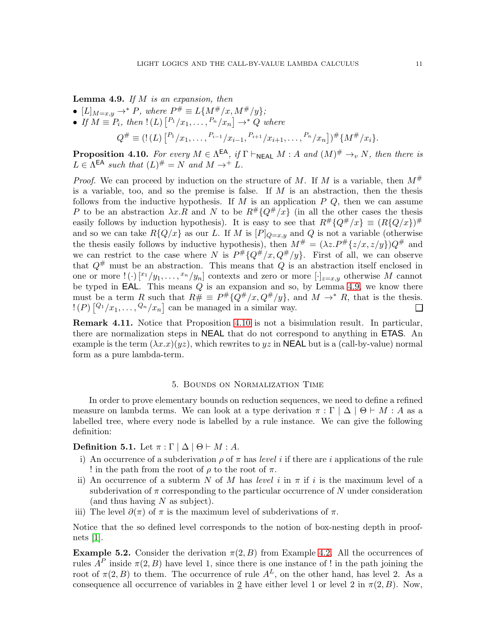<span id="page-10-1"></span>Lemma 4.9. *If* M *is an expansion, then*

- $[L]_{M=x,y} \to^* P$ *, where*  $P^{\#} \equiv L\{M^{\#}/x, M^{\#}/y\}$ *;*
- If  $M \equiv P_i$ , then  $!(L)$   $\left[ \begin{array}{c} P_1/x_1, \ldots, P_n/x_n \end{array} \right] \rightarrow^* Q$  where  $Q^{\#}\equiv (!(L)\left[{}^{P_1}/x_1,\ldots,{}^{P_{i-1}}/x_{i-1},{}^{P_{i+1}}/x_{i+1},\ldots,{}^{P_n}/x_n\right])^{\#}\{M^{\#}/x_i\}.$

<span id="page-10-2"></span>**Proposition 4.10.** For every  $M \in \Lambda^{\text{EA}}$ , if  $\Gamma \vdash_{\text{NEAL}} M : A$  and  $(M)^\# \rightarrow_v N$ , then there is  $L \in \Lambda^{\textsf{EA}}$  such that  $(L)^{\#} = N$  and  $M \to^+ L$ .

*Proof.* We can proceed by induction on the structure of M. If M is a variable, then  $M^{\#}$ is a variable, too, and so the premise is false. If  $M$  is an abstraction, then the thesis follows from the inductive hypothesis. If  $M$  is an application  $P$   $Q$ , then we can assume P to be an abstraction  $\lambda x.R$  and N to be  $R^{\#}{Q^{\#}/x}$  (in all the other cases the thesis easily follows by induction hypothesis). It is easy to see that  $R^{\#}\{Q^{\#}/x\} \equiv (R\{Q/x\})^{\#}$ and so we can take  $R{Q/x}$  as our L. If M is  $[P]_{Q=x,y}$  and Q is not a variable (otherwise the thesis easily follows by inductive hypothesis), then  $M^{\#} = (\lambda z.P^{\#}\{z/x, z/y\})Q^{\#}$  and we can restrict to the case where N is  $P^{\#}{Q^{\#}/x,Q^{\#}/y}$ . First of all, we can observe that  $Q^{\#}$  must be an abstraction. This means that  $Q$  is an abstraction itself enclosed in one or more  $! \cdot (\cdot) \left[ {x_1/y_1, \ldots, x_n/y_n} \right]$  contexts and zero or more  $[\cdot]_{z=x,y}$  otherwise M cannot be typed in **EAL**. This means  $Q$  is an expansion and so, by Lemma [4.9,](#page-10-1) we know there must be a term R such that  $R# \equiv P^{\#}\{Q^{\#}/x, Q^{\#}/y\}$ , and  $M \to^* R$ , that is the thesis.  $\mathbb{P}(P)$   $[^{Q_1}/x_1, \ldots, ^{Q_n}/x_n]$  can be managed in a similar way.  $\Box$ 

Remark 4.11. Notice that Proposition [4.10](#page-10-2) is not a bisimulation result. In particular, there are normalization steps in NEAL that do not correspond to anything in ETAS. An example is the term  $(\lambda x.x)(yz)$ , which rewrites to yz in **NEAL** but is a (call-by-value) normal form as a pure lambda-term.

#### 5. Bounds on Normalization Time

<span id="page-10-0"></span>In order to prove elementary bounds on reduction sequences, we need to define a refined measure on lambda terms. We can look at a type derivation  $\pi : \Gamma | \Delta | \Theta \vdash M : A$  as a labelled tree, where every node is labelled by a rule instance. We can give the following definition:

Definition 5.1. Let  $\pi : \Gamma \mid \Delta \mid \Theta \vdash M : A$ .

- i) An occurrence of a subderivation  $\rho$  of  $\pi$  has *level* i if there are i applications of the rule ! in the path from the root of  $\rho$  to the root of  $\pi$ .
- ii) An occurrence of a subterm N of M has *level* i in  $\pi$  if i is the maximum level of a subderivation of  $\pi$  corresponding to the particular occurrence of N under consideration (and thus having  $N$  as subject).
- iii) The level  $\partial(\pi)$  of  $\pi$  is the maximum level of subderivations of  $\pi$ .

Notice that the so defined level corresponds to the notion of box-nesting depth in proofnets [\[1\]](#page-26-1).

**Example 5.2.** Consider the derivation  $\pi(2, B)$  from Example [4.2.](#page-6-1) All the occurrences of rules  $A^P$  inside  $\pi(2, B)$  have level 1, since there is one instance of ! in the path joining the root of  $\pi(2, B)$  to them. The occurrence of rule  $A<sup>L</sup>$ , on the other hand, has level 2. As a consequence all occurrence of variables in  $2$  have either level 1 or level 2 in  $\pi(2, B)$ . Now,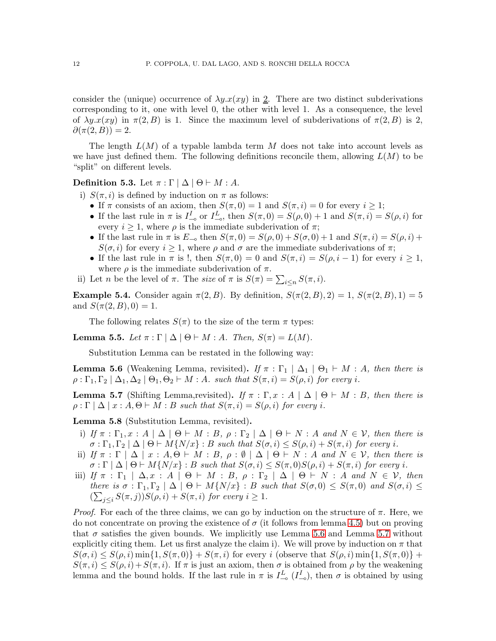consider the (unique) occurrence of  $\lambda y.x(xy)$  in 2. There are two distinct subderivations corresponding to it, one with level 0, the other with level 1. As a consequence, the level of  $\lambda y.x(xy)$  in  $\pi(2, B)$  is 1. Since the maximum level of subderivations of  $\pi(2, B)$  is 2,  $\partial(\pi(2,B))=2.$ 

The length  $L(M)$  of a typable lambda term M does not take into account levels as we have just defined them. The following definitions reconcile them, allowing  $L(M)$  to be "split" on different levels.

Definition 5.3. Let  $\pi : \Gamma \mid \Delta \mid \Theta \vdash M : A$ .

- i)  $S(\pi, i)$  is defined by induction on  $\pi$  as follows:
	- If  $\pi$  consists of an axiom, then  $S(\pi, 0) = 1$  and  $S(\pi, i) = 0$  for every  $i \geq 1$ ;
	- If the last rule in  $\pi$  is  $I_{-\infty}^I$  or  $I_{-\infty}^L$ , then  $S(\pi,0) = S(\rho,0) + 1$  and  $S(\pi,i) = S(\rho,i)$  for every  $i \geq 1$ , where  $\rho$  is the immediate subderivation of  $\pi$ ;
	- If the last rule in  $\pi$  is  $E_{\infty}$  then  $S(\pi, 0) = S(\rho, 0) + S(\sigma, 0) + 1$  and  $S(\pi, i) = S(\rho, i) +$  $S(\sigma, i)$  for every  $i \geq 1$ , where  $\rho$  and  $\sigma$  are the immediate subderivations of  $\pi$ ;
	- If the last rule in  $\pi$  is !, then  $S(\pi, 0) = 0$  and  $S(\pi, i) = S(\rho, i 1)$  for every  $i \geq 1$ , where  $\rho$  is the immediate subderivation of  $\pi$ .
- ii) Let *n* be the level of  $\pi$ . The *size* of  $\pi$  is  $S(\pi) = \sum_{i \leq n} S(\pi, i)$ .

**Example 5.4.** Consider again  $\pi(2, B)$ . By definition,  $S(\pi(2, B), 2) = 1$ ,  $S(\pi(2, B), 1) = 5$ and  $S(\pi(2, B), 0) = 1$ .

The following relates  $S(\pi)$  to the size of the term  $\pi$  types:

**Lemma 5.5.** *Let*  $\pi : \Gamma | \Delta | \Theta \vdash M : A$ *. Then,*  $S(\pi) = L(M)$ *.* 

Substitution Lemma can be restated in the following way:

<span id="page-11-0"></span>**Lemma 5.6** (Weakening Lemma, revisited). *If*  $\pi : \Gamma_1 \mid \Delta_1 \mid \Theta_1 \vdash M : A$ , then there is  $\rho: \Gamma_1, \Gamma_2 \mid \Delta_1, \Delta_2 \mid \Theta_1, \Theta_2 \vdash M : A$ *. such that*  $S(\pi, i) = S(\rho, i)$  *for every i.* 

<span id="page-11-1"></span>**Lemma 5.7** (Shifting Lemma,revisited). *If*  $\pi : \Gamma, x : A \mid \Delta \mid \Theta \vdash M : B$ , then there is  $\rho: \Gamma \mid \Delta \mid x: A, \Theta \vdash M: B$  *such that*  $S(\pi, i) = S(\rho, i)$  *for every i.* 

<span id="page-11-2"></span>Lemma 5.8 (Substitution Lemma, revisited).

- i) If  $\pi : \Gamma_1, x : A \mid \Delta \mid \Theta \vdash M : B, \rho : \Gamma_2 \mid \Delta \mid \Theta \vdash N : A \text{ and } N \in \mathcal{V}$ , then there is  $\sigma : \Gamma_1, \Gamma_2 \mid \Delta \mid \Theta \vdash M\{N/x\} : B$  such that  $S(\sigma, i) \leq S(\rho, i) + S(\pi, i)$  for every *i*.
- ii) *If*  $\pi : \Gamma \mid \Delta \mid x : A, \Theta \vdash M : B, \rho : \emptyset \mid \Delta \mid \Theta \vdash N : A \text{ and } N \in \mathcal{V}$ , then there is  $\sigma : \Gamma \mid \Delta \mid \Theta \vdash M\{N/x\} : B$  such that  $S(\sigma, i) \leq S(\pi, 0)S(\rho, i) + S(\pi, i)$  for every i.
- iii) *If*  $\pi : \Gamma_1 \mid \Delta, x : A \mid \Theta \vdash M : B, \rho : \Gamma_2 \mid \Delta \mid \Theta \vdash N : A \text{ and } N \in \mathcal{V}, \text{ then}$ *there is*  $\sigma : \Gamma_1, \Gamma_2 \mid \Delta \mid \Theta \vdash M\{N/x\} : B$  *such that*  $S(\sigma, 0) \leq S(\pi, 0)$  *and*  $S(\sigma, i) \leq$  $(\sum_{j\leq i} S(\pi, j))S(\rho, i) + S(\pi, i)$  *for every*  $i \geq 1$ *.*

*Proof.* For each of the three claims, we can go by induction on the structure of  $\pi$ . Here, we do not concentrate on proving the existence of  $\sigma$  (it follows from lemma [4.5\)](#page-7-2) but on proving that  $\sigma$  satisfies the given bounds. We implicitly use Lemma [5.6](#page-11-0) and Lemma [5.7](#page-11-1) without explicitly citing them. Let us first analyze the claim i). We will prove by induction on  $\pi$  that  $S(\sigma, i) \leq S(\rho, i) \min\{1, S(\pi, 0)\} + S(\pi, i)$  for every i (observe that  $S(\rho, i) \min\{1, S(\pi, 0)\}$  +  $S(\pi, i) \leq S(\rho, i) + S(\pi, i)$ . If  $\pi$  is just an axiom, then  $\sigma$  is obtained from  $\rho$  by the weakening lemma and the bound holds. If the last rule in  $\pi$  is  $I_{\infty}^L(I_{\infty}^I)$ , then  $\sigma$  is obtained by using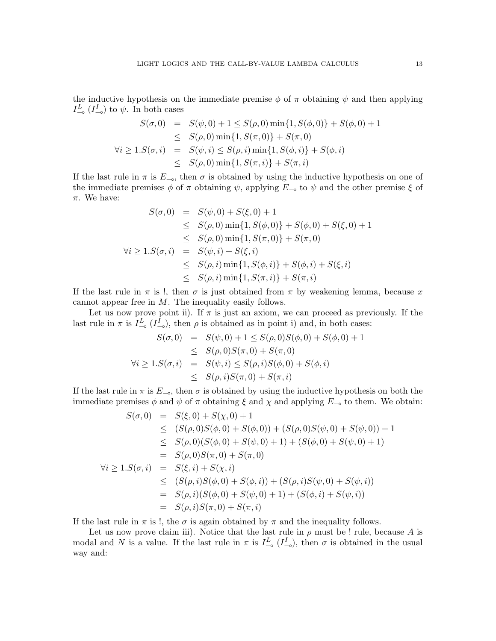the inductive hypothesis on the immediate premise  $\phi$  of  $\pi$  obtaining  $\psi$  and then applying  $I_{\infty}^L$  ( $I_{\infty}^I$ ) to  $\psi$ . In both cases

$$
S(\sigma, 0) = S(\psi, 0) + 1 \le S(\rho, 0) \min\{1, S(\phi, 0)\} + S(\phi, 0) + 1
$$
  
\n
$$
\le S(\rho, 0) \min\{1, S(\pi, 0)\} + S(\pi, 0)
$$
  
\n
$$
\forall i \ge 1. S(\sigma, i) = S(\psi, i) \le S(\rho, i) \min\{1, S(\phi, i)\} + S(\phi, i)
$$
  
\n
$$
\le S(\rho, 0) \min\{1, S(\pi, i)\} + S(\pi, i)
$$

If the last rule in  $\pi$  is  $E_{\infty}$ , then  $\sigma$  is obtained by using the inductive hypothesis on one of the immediate premises  $\phi$  of  $\pi$  obtaining  $\psi$ , applying  $E_{-\infty}$  to  $\psi$  and the other premise  $\xi$  of  $\pi$ . We have:

$$
S(\sigma, 0) = S(\psi, 0) + S(\xi, 0) + 1
$$
  
\n
$$
\leq S(\rho, 0) \min\{1, S(\phi, 0)\} + S(\phi, 0) + S(\xi, 0) + 1
$$
  
\n
$$
\leq S(\rho, 0) \min\{1, S(\pi, 0)\} + S(\pi, 0)
$$
  
\n
$$
\forall i \geq 1. S(\sigma, i) = S(\psi, i) + S(\xi, i)
$$
  
\n
$$
\leq S(\rho, i) \min\{1, S(\phi, i)\} + S(\phi, i) + S(\xi, i)
$$
  
\n
$$
\leq S(\rho, i) \min\{1, S(\pi, i)\} + S(\pi, i)
$$

If the last rule in  $\pi$  is !, then  $\sigma$  is just obtained from  $\pi$  by weakening lemma, because x cannot appear free in  $M$ . The inequality easily follows.

Let us now prove point ii). If  $\pi$  is just an axiom, we can proceed as previously. If the last rule in  $\pi$  is  $I_{-\infty}^L(I_{-\infty}^I)$ , then  $\rho$  is obtained as in point i) and, in both cases:

$$
S(\sigma, 0) = S(\psi, 0) + 1 \le S(\rho, 0)S(\phi, 0) + S(\phi, 0) + 1
$$
  
\n
$$
\le S(\rho, 0)S(\pi, 0) + S(\pi, 0)
$$
  
\n
$$
\forall i \ge 1.S(\sigma, i) = S(\psi, i) \le S(\rho, i)S(\phi, 0) + S(\phi, i)
$$
  
\n
$$
\le S(\rho, i)S(\pi, 0) + S(\pi, i)
$$

If the last rule in  $\pi$  is  $E_{\infty}$ , then  $\sigma$  is obtained by using the inductive hypothesis on both the immediate premises  $\phi$  and  $\psi$  of  $\pi$  obtaining  $\xi$  and  $\chi$  and applying  $E_{-\phi}$  to them. We obtain:

$$
S(\sigma,0) = S(\xi,0) + S(\chi,0) + 1
$$
  
\n
$$
\leq (S(\rho,0)S(\phi,0) + S(\phi,0)) + (S(\rho,0)S(\psi,0) + S(\psi,0)) + 1
$$
  
\n
$$
\leq S(\rho,0)(S(\phi,0) + S(\psi,0) + 1) + (S(\phi,0) + S(\psi,0) + 1)
$$
  
\n
$$
= S(\rho,0)S(\pi,0) + S(\pi,0)
$$
  
\n
$$
\forall i \geq 1.S(\sigma,i) = S(\xi,i) + S(\chi,i)
$$
  
\n
$$
\leq (S(\rho,i)S(\phi,0) + S(\phi,i)) + (S(\rho,i)S(\psi,0) + S(\psi,i))
$$
  
\n
$$
= S(\rho,i)(S(\phi,0) + S(\psi,0) + 1) + (S(\phi,i) + S(\psi,i))
$$
  
\n
$$
= S(\rho,i)S(\pi,0) + S(\pi,i)
$$

If the last rule in  $\pi$  is !, the  $\sigma$  is again obtained by  $\pi$  and the inequality follows.

Let us now prove claim iii). Notice that the last rule in  $\rho$  must be ! rule, because A is modal and N is a value. If the last rule in  $\pi$  is  $I_{\infty}^L(I_{\infty}^I)$ , then  $\sigma$  is obtained in the usual way and: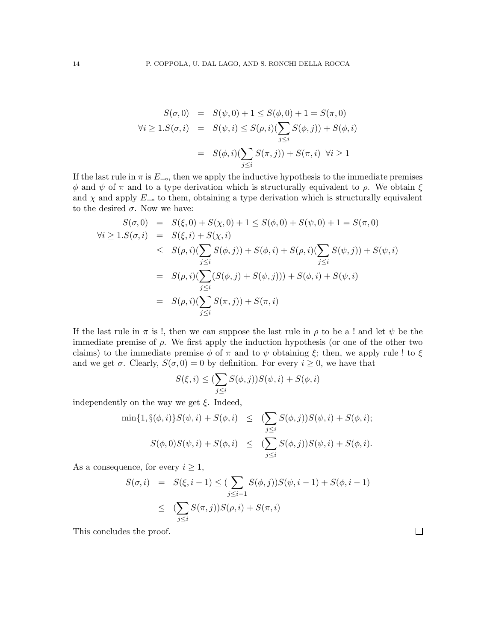$$
S(\sigma, 0) = S(\psi, 0) + 1 \le S(\phi, 0) + 1 = S(\pi, 0)
$$
  
\n
$$
\forall i \ge 1. S(\sigma, i) = S(\psi, i) \le S(\rho, i) (\sum_{j \le i} S(\phi, j)) + S(\phi, i)
$$
  
\n
$$
= S(\phi, i) (\sum_{j \le i} S(\pi, j)) + S(\pi, i) \quad \forall i \ge 1
$$

If the last rule in  $\pi$  is  $E_{\infty}$ , then we apply the inductive hypothesis to the immediate premises φ and  $\psi$  of  $\pi$  and to a type derivation which is structurally equivalent to  $\rho$ . We obtain  $\xi$ and  $\chi$  and apply  $E_{\infty}$  to them, obtaining a type derivation which is structurally equivalent to the desired  $\sigma$ . Now we have:

$$
S(\sigma, 0) = S(\xi, 0) + S(\chi, 0) + 1 \le S(\phi, 0) + S(\psi, 0) + 1 = S(\pi, 0)
$$
  
\n
$$
\forall i \ge 1. S(\sigma, i) = S(\xi, i) + S(\chi, i)
$$
  
\n
$$
\le S(\rho, i) (\sum_{j \le i} S(\phi, j)) + S(\phi, i) + S(\rho, i) (\sum_{j \le i} S(\psi, j)) + S(\psi, i)
$$
  
\n
$$
= S(\rho, i) (\sum_{j \le i} (S(\phi, j) + S(\psi, j))) + S(\phi, i) + S(\psi, i)
$$
  
\n
$$
= S(\rho, i) (\sum_{j \le i} S(\pi, j)) + S(\pi, i)
$$

If the last rule in  $\pi$  is !, then we can suppose the last rule in  $\rho$  to be a ! and let  $\psi$  be the immediate premise of  $\rho$ . We first apply the induction hypothesis (or one of the other two claims) to the immediate premise  $\phi$  of  $\pi$  and to  $\psi$  obtaining  $\xi$ ; then, we apply rule ! to  $\xi$ and we get  $\sigma$ . Clearly,  $S(\sigma, 0) = 0$  by definition. For every  $i \geq 0$ , we have that

$$
S(\xi, i) \leq (\sum_{j \leq i} S(\phi, j)) S(\psi, i) + S(\phi, i)
$$

independently on the way we get  $\xi$ . Indeed,

$$
\min\{1, \S(\phi, i)\} S(\psi, i) + S(\phi, i) \leq \left(\sum_{j \leq i} S(\phi, j)\right) S(\psi, i) + S(\phi, i);
$$
  

$$
S(\phi, 0) S(\psi, i) + S(\phi, i) \leq \left(\sum_{j \leq i} S(\phi, j)\right) S(\psi, i) + S(\phi, i).
$$

As a consequence, for every  $i \geq 1$ ,

$$
S(\sigma, i) = S(\xi, i - 1) \leq (\sum_{j \leq i-1} S(\phi, j)) S(\psi, i - 1) + S(\phi, i - 1)
$$
  

$$
\leq (\sum_{j \leq i} S(\pi, j)) S(\rho, i) + S(\pi, i)
$$

 $\Box$ 

This concludes the proof.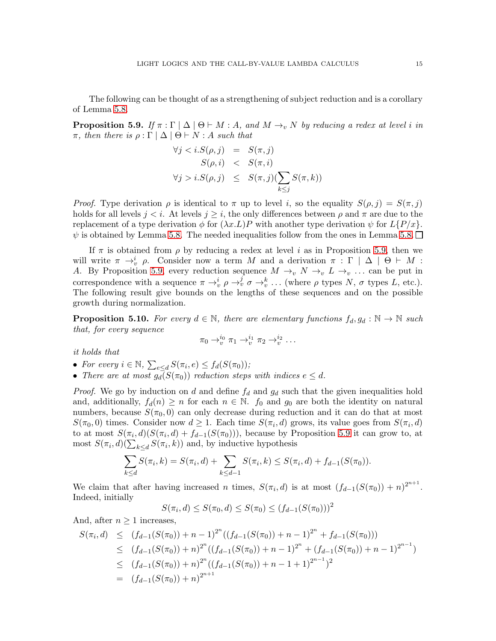The following can be thought of as a strengthening of subject reduction and is a corollary of Lemma [5.8.](#page-11-2)

<span id="page-14-0"></span>**Proposition 5.9.** *If*  $\pi$ : Γ |  $\Delta$  |  $\Theta \vdash M$  : A, and  $M \rightarrow_{v} N$  by reducing a redex at level i in π*, then there is* ρ : Γ | ∆ | Θ ⊢ N : A *such that*

$$
\forall j < i. S(\rho, j) = S(\pi, j) S(\rho, i) < S(\pi, i) \n\forall j > i. S(\rho, j) \leq S(\pi, j) (\sum_{k \leq j} S(\pi, k))
$$

*Proof.* Type derivation  $\rho$  is identical to  $\pi$  up to level i, so the equality  $S(\rho, j) = S(\pi, j)$ holds for all levels  $j \leq i$ . At levels  $j \geq i$ , the only differences between  $\rho$  and  $\pi$  are due to the replacement of a type derivation  $\phi$  for  $(\lambda x.L)P$  with another type derivation  $\psi$  for  $L\{P/x\}$ .  $\psi$  is obtained by Lemma [5.8.](#page-11-2) The needed inequalities follow from the ones in Lemma 5.8.  $\Box$ 

If  $\pi$  is obtained from  $\rho$  by reducing a redex at level i as in Proposition [5.9,](#page-14-0) then we will write  $\pi \to_{v}^{i} \rho$ . Consider now a term M and a derivation  $\pi : \Gamma | \Delta | \Theta \vdash M$ : A. By Proposition [5.9,](#page-14-0) every reduction sequence  $M \to_v N \to_v L \to_v \ldots$  can be put in correspondence with a sequence  $\pi \to_v^i \rho \to_v^j \sigma \to_v^k \ldots$  (where  $\rho$  types N,  $\sigma$  types L, etc.). The following result give bounds on the lengths of these sequences and on the possible growth during normalization.

<span id="page-14-1"></span>**Proposition 5.10.** For every  $d \in \mathbb{N}$ , there are elementary functions  $f_d, g_d : \mathbb{N} \to \mathbb{N}$  such *that, for every sequence*

$$
\pi_0 \rightarrow_v^{i_0} \pi_1 \rightarrow_v^{i_1} \pi_2 \rightarrow_v^{i_2} \dots
$$

*it holds that*

- For every  $i \in \mathbb{N}$ ,  $\sum_{e \leq d} S(\pi_i, e) \leq f_d(S(\pi_0))$ ;
- There are at most  $g_d(S(\pi_0))$  reduction steps with indices  $e \leq d$ .

*Proof.* We go by induction on d and define  $f_d$  and  $g_d$  such that the given inequalities hold and, additionally,  $f_d(n) \geq n$  for each  $n \in \mathbb{N}$ .  $f_0$  and  $g_0$  are both the identity on natural numbers, because  $S(\pi_0, 0)$  can only decrease during reduction and it can do that at most  $S(\pi_0,0)$  times. Consider now  $d \geq 1$ . Each time  $S(\pi_i,d)$  grows, its value goes from  $S(\pi_i,d)$ to at most  $S(\pi_i, d)(S(\pi_i, d) + f_{d-1}(S(\pi_0)))$ , because by Proposition [5.9](#page-14-0) it can grow to, at most  $S(\pi_i, d)(\sum_{k \le d} S(\pi_i, k))$  and, by inductive hypothesis

$$
\sum_{k\leq d} S(\pi_i,k)=S(\pi_i,d)+\sum_{k\leq d-1} S(\pi_i,k)\leq S(\pi_i,d)+f_{d-1}(S(\pi_0)).
$$

We claim that after having increased n times,  $S(\pi_i, d)$  is at most  $(f_{d-1}(S(\pi_0)) + n)^{2^{n+1}}$ . Indeed, initially

$$
S(\pi_i, d) \le S(\pi_0, d) \le S(\pi_0) \le (f_{d-1}(S(\pi_0)))^2
$$

And, after  $n \geq 1$  increases,

$$
S(\pi_i, d) \le (f_{d-1}(S(\pi_0)) + n - 1)^{2^n} ((f_{d-1}(S(\pi_0)) + n - 1)^{2^n} + f_{d-1}(S(\pi_0)))
$$
  
\n
$$
\le (f_{d-1}(S(\pi_0)) + n)^{2^n} ((f_{d-1}(S(\pi_0)) + n - 1)^{2^n} + (f_{d-1}(S(\pi_0)) + n - 1)^{2^{n-1}})
$$
  
\n
$$
\le (f_{d-1}(S(\pi_0)) + n)^{2^n} ((f_{d-1}(S(\pi_0)) + n - 1 + 1)^{2^{n-1}})^2
$$
  
\n
$$
= (f_{d-1}(S(\pi_0)) + n)^{2^{n+1}}
$$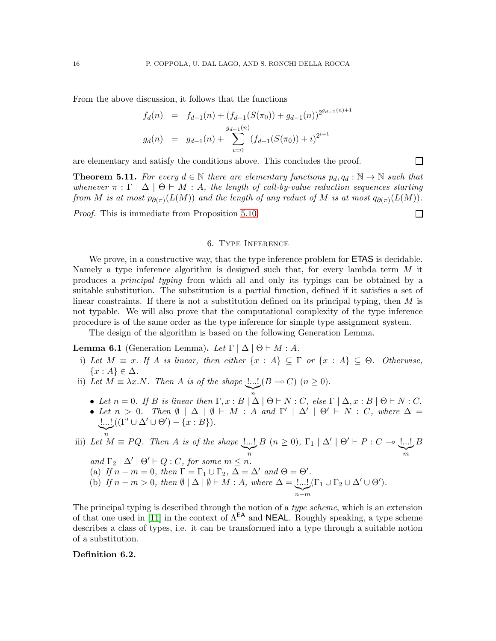From the above discussion, it follows that the functions

$$
f_d(n) = f_{d-1}(n) + (f_{d-1}(S(\pi_0)) + g_{d-1}(n))^{2^{g_{d-1}(n)+1}}
$$
  
\n
$$
g_d(n) = g_{d-1}(n) + \sum_{i=0}^{g_{d-1}(n)} (f_{d-1}(S(\pi_0)) + i)^{2^{i+1}}
$$

are elementary and satisfy the conditions above. This concludes the proof.

<span id="page-15-1"></span>**Theorem 5.11.** For every  $d \in \mathbb{N}$  there are elementary functions  $p_d, q_d : \mathbb{N} \to \mathbb{N}$  such that *whenever*  $\pi : \Gamma \mid \Delta \mid \Theta \vdash M : A$ *, the length of call-by-value reduction sequences starting from M is at most*  $p_{\partial(\pi)}(L(M))$  *and the length of any reduct of M is at most*  $q_{\partial(\pi)}(L(M))$ *.* 

 $\Box$ 

 $\Box$ 

<span id="page-15-0"></span>*Proof.* This is immediate from Proposition [5.10.](#page-14-1)

#### 6. Type Inference

We prove, in a constructive way, that the type inference problem for **ETAS** is decidable. Namely a type inference algorithm is designed such that, for every lambda term M it produces a *principal typing* from which all and only its typings can be obtained by a suitable substitution. The substitution is a partial function, defined if it satisfies a set of linear constraints. If there is not a substitution defined on its principal typing, then M is not typable. We will also prove that the computational complexity of the type inference procedure is of the same order as the type inference for simple type assignment system.

The design of the algorithm is based on the following Generation Lemma.

**Lemma 6.1** (Generation Lemma). Let  $\Gamma | \Delta | \Theta \vdash M : A$ .

- i) *Let*  $M \equiv x$ . *If* A *is linear, then either*  $\{x : A\} \subseteq \Gamma$  *or*  $\{x : A\} \subseteq \Theta$ . *Otherwise,* {x : A} ∈ ∆*.*
- ii) Let  $M \equiv \lambda x.N$ . Then A is of the shape  $\lfloor ... \rfloor (B \multimap C)$   $(n \ge 0)$ .
	- Let  $n = 0$ . If B is linear then  $\Gamma, x : B \mid \Delta \mid \Theta \vdash N : C$ , else  $\Gamma \mid \Delta, x : B \mid \Theta \vdash N : C$ .
	- Let  $n > 0$ . Then  $\emptyset \mid \Delta \mid \emptyset \vdash M : A$  and  $\Gamma' \mid \Delta' \mid \Theta' \vdash N : C$ , where  $\Delta =$ !...!  $((\Gamma' \cup \Delta' \cup \Theta') - \{x : B\}).$

iii) Let 
$$
M \equiv PQ
$$
. Then A is of the shape  $\underline{\underline{\underline{\phantom{A}}\underline{\phantom{A}}}}_n$   $B \quad (n \ge 0)$ ,  $\Gamma_1 | \Delta' | \Theta' \vdash P : C \multimap \underline{\underline{\phantom{A}}\underline{\phantom{A}}\underline{\phantom{A}}}}_m$   
and  $\Gamma_2 | \Delta' | \Theta' \vdash Q : C$ , for some  $m \le n$ .  
(a) If  $n - m = 0$ , then  $\Gamma = \Gamma_1 \cup \Gamma_2$ ,  $\Delta = \Delta'$  and  $\Theta = \Theta'$ .  
(b) If  $n - m > 0$ , then  $\emptyset | \Delta | \emptyset \vdash M : A$ , where  $\Delta = \underline{\underline{\phantom{A}}\underline{\phantom{A}}\underline{\phantom{A}}}\underline{\phantom{A}}\underline{\phantom{A}}\underline{\phantom{A}}\underline{\phantom{A}}\underline{\phantom{A}}\underline{\phantom{A}}\underline{\phantom{A}}\underline{\phantom{A}}\underline{\phantom{A}}\underline{\phantom{A}}\underline{\phantom{A}}\underline{\phantom{A}}\underline{\phantom{A}}\underline{\phantom{A}}\underline{\phantom{A}}\underline{\phantom{A}}\underline{\phantom{A}}\underline{\phantom{A}}\underline{\phantom{A}}\underline{\phantom{A}}\underline{\phantom{A}}\underline{\phantom{A}}\underline{\phantom{A}}\underline{\phantom{A}}\underline{\phantom{A}}\underline{\phantom{A}}\underline{\phantom{A}}\underline{\phantom{A}}\underline{\phantom{A}}\underline{\phantom{A}}\underline{\phantom{A}}\underline{\phantom{A}}\underline{\phantom{A}}\underline{\phantom{A}}\underline{\phantom{A}}\underline{\phantom{A}}\underline{\phantom{A}}\underline{\phantom{A}}\underline{\phantom{A}}\underline{\phantom{A}}\underline{\phantom{A}}\underline{\phantom{A}}\underline{\phantom{A}}\underline{\phantom{A}}\underline{\phantom{A}}\underline{\phantom{A}}\underline{\phantom{A}}\underline{\phantom{A}}\underline{\phantom{A}}\underline{\phantom{A}}\underline{\phantom{A}}\underline{\phantom{A}}\underline{\phantom{A}}\underline{\phantom{A}}\underline{\phantom{A}}\underline{\phantom{A}}\underline{\phantom{A}}\underline{\phantom{A}}\underline{\phantom{A}}\underline{\phantom{A}}\underline{\phantom$ 

The principal typing is described through the notion of a *type scheme*, which is an extension of that one used in [\[11\]](#page-26-5) in the context of  $\Lambda^{EA}$  and **NEAL**. Roughly speaking, a type scheme describes a class of types, i.e. it can be transformed into a type through a suitable notion of a substitution.

#### Definition 6.2.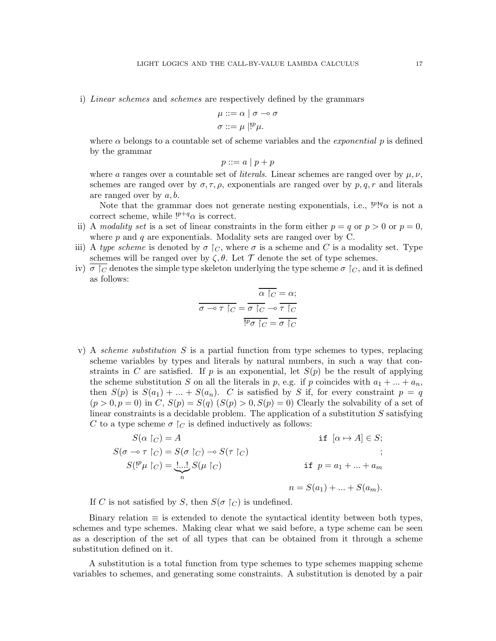i) *Linear schemes* and *schemes* are respectively defined by the grammars

$$
\mu ::= \alpha \mid \sigma \multimap \sigma
$$

$$
\sigma ::= \mu \mid !^{p} \mu.
$$

where  $\alpha$  belongs to a countable set of scheme variables and the *exponential* p is defined by the grammar

$$
p ::= a \mid p + p
$$

where a ranges over a countable set of *literals*. Linear schemes are ranged over by  $\mu, \nu$ , schemes are ranged over by  $\sigma, \tau, \rho$ , exponentials are ranged over by  $p, q, r$  and literals are ranged over by  $a, b$ .

Note that the grammar does not generate nesting exponentials, i.e.,  $\mathcal{P}^{q} \alpha$  is not a correct scheme, while  $!^{p+q}\alpha$  is correct.

- ii) A *modality set* is a set of linear constraints in the form either  $p = q$  or  $p > 0$  or  $p = 0$ , where  $p$  and  $q$  are exponentials. Modality sets are ranged over by C.
- iii) A *type scheme* is denoted by  $\sigma \restriction_C$ , where  $\sigma$  is a scheme and C is a modality set. Type schemes will be ranged over by  $\zeta, \theta$ . Let  $\mathcal T$  denote the set of type schemes.
- iv)  $\sigma \restriction_C$  denotes the simple type skeleton underlying the type scheme  $\sigma \restriction_C$ , and it is defined as follows:

$$
\overline{\sigma \rightarrow \tau} \upharpoonright_C = \overline{\sigma} \upharpoonright_C \rightarrow \overline{\tau} \upharpoonright_C
$$

$$
\overline{\sigma \rightarrow \tau} \upharpoonright_C = \overline{\sigma} \upharpoonright_C \rightarrow \overline{\tau} \upharpoonright_C
$$

$$
\overline{\phi} \upharpoonright_C = \overline{\sigma} \upharpoonright_C
$$

v) A *scheme substitution* S is a partial function from type schemes to types, replacing scheme variables by types and literals by natural numbers, in such a way that constraints in C are satisfied. If p is an exponential, let  $S(p)$  be the result of applying the scheme substitution S on all the literals in p, e.g. if p coincides with  $a_1 + ... + a_n$ , then  $S(p)$  is  $S(a_1) + ... + S(a_n)$ . C is satisfied by S if, for every constraint  $p = q$  $(p > 0, p = 0)$  in C,  $S(p) = S(q)$   $(S(p) > 0, S(p) = 0)$  Clearly the solvability of a set of linear constraints is a decidable problem. The application of a substitution  $S$  satisfying C to a type scheme  $\sigma \restriction_C$  is defined inductively as follows:

$$
S(\alpha \upharpoonright_C) = A \qquad \text{if } [\alpha \mapsto A] \in S;
$$
  
\n
$$
S(\sigma \multimap \tau \upharpoonright_C) = S(\sigma \upharpoonright_C) \multimap S(\tau \upharpoonright_C) \qquad \qquad ;
$$
  
\n
$$
S({}^{p}\mu \upharpoonright_C) = \underbrace{!...!}_{n} S(\mu \upharpoonright_C) \qquad \qquad \text{if } p = a_1 + ... + a_m
$$
  
\n
$$
n = S(a_1) + ... + S(a_m).
$$

If C is not satisfied by S, then  $S(\sigma \restriction_C)$  is undefined.

Binary relation  $\equiv$  is extended to denote the syntactical identity between both types, schemes and type schemes. Making clear what we said before, a type scheme can be seen as a description of the set of all types that can be obtained from it through a scheme substitution defined on it.

A substitution is a total function from type schemes to type schemes mapping scheme variables to schemes, and generating some constraints. A substitution is denoted by a pair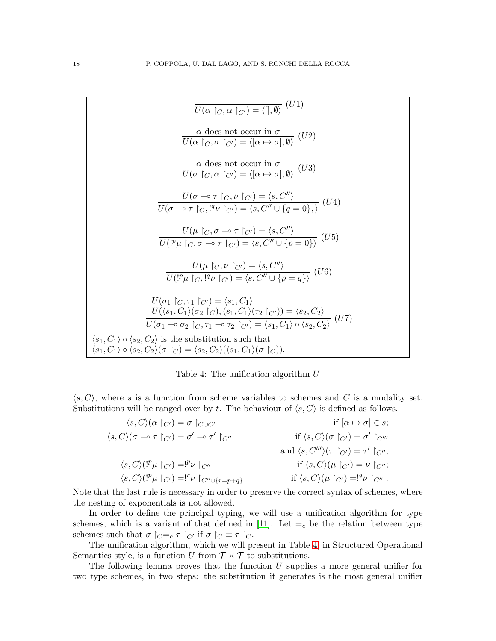$$
\overline{U(\alpha |_{C}, \alpha |_{C'})} = \langle |, \emptyset \rangle (U1)
$$
\n
$$
\frac{\alpha \text{ does not occur in } \sigma}{U(\alpha |_{C}, \sigma |_{C'})} = \langle [\alpha \mapsto \sigma], \emptyset \rangle (U2)
$$
\n
$$
\frac{\alpha \text{ does not occur in } \sigma}{U(\sigma |_{C}, \alpha |_{C'})} = \langle [\alpha \mapsto \sigma], \emptyset \rangle (U3)
$$
\n
$$
\frac{U(\sigma \multimap \tau |_{C}, \nu |_{C'})}{U(\sigma \multimap \tau |_{C}, \emptyset |_{C'})} = \langle s, C'' \rangle}
$$
\n
$$
\frac{U(\sigma \multimap \tau |_{C}, \emptyset |_{C'})}{U(\sigma \multimap \tau |_{C}, \emptyset |_{C'})} = \langle s, C'' \cup \{q = 0\}, \rangle (U4)
$$
\n
$$
\frac{U(\mu |_{C}, \sigma \multimap \tau |_{C'})}{U(\mu |_{C}, \sigma \multimap \tau |_{C'})} = \langle s, C'' \rangle}
$$
\n
$$
\frac{U(\mu |_{C}, \nu |_{C'})}{U(\mu |_{C}, \emptyset |_{C'})} = \langle s, C'' \cup \{p = 0\} \rangle (U6)
$$
\n
$$
\frac{U(\mu |_{C}, \emptyset |_{C'})}{U(\mu |_{C}, \emptyset |_{C'})} = \langle s, C'' \cup \{p = q\} \rangle (U6)
$$
\n
$$
\frac{U(\sigma_1 |_{C}, \tau_1 |_{C'})}{U(\sigma_1 |_{C}, \sigma_1 |_{C'})} = \langle s_1, C_1 \rangle
$$
\n
$$
\frac{U(\langle s_1, C_1 \rangle(\sigma_2 |_{C}), \langle s_1, C_1 \rangle(\tau_2 |_{C'})) = \langle s_2, C_2 \rangle}{U(\sigma_1 \multimap \sigma_2 |_{C}, \tau_1 \multimap \tau_2 |_{C'})} = \langle s_1, C_1 \rangle \circ \langle s_2, C_2 \rangle (U7)
$$
\n
$$
\langle s_1, C_1 \rangle \circ \langle s_2, C_2 \rangle \langle \sigma |_{C}) = \langle s_2, C_2 \rangle (\langle s_1, C_1 \rangle(\sigma |_{C})).
$$

<span id="page-17-0"></span>Table 4: The unification algorithm U

 $\langle s, C \rangle$ , where s is a function from scheme variables to schemes and C is a modality set. Substitutions will be ranged over by t. The behaviour of  $\langle s, C \rangle$  is defined as follows.

 $\langle s, C \rangle(\alpha \upharpoonright_{C'}) = \sigma \upharpoonright_{C \cup C'}$  if  $[\alpha \mapsto \sigma] \in s;$  $\langle s, C \rangle (\sigma \multimap \tau \restriction_{C'}) = \sigma' \multimap \tau'$  $\int_{C''}$  if  $\langle s, C \rangle (\sigma \upharpoonright_{C'}) = \sigma' \upharpoonright_{C'''}$ and  $\langle s, C''' \rangle(\tau \upharpoonright_{C'}) = \tau' \upharpoonright_{C''};$  $\langle s, C \rangle (!^p \mu \restriction_{C'}) = !^p \nu \restriction_{C''}$ if  $\langle s, C \rangle (\mu \upharpoonright_{C'}) = \nu \upharpoonright_{C''};$  $\langle s, C \rangle (l^p \mu \restriction_{C'}) = !^r \nu \restriction_{C'' \cup \{r = p + q\}}$ if  $\langle s, C \rangle (\mu \restriction_{C'}) = !^q \nu \restriction_{C''}.$ 

Note that the last rule is necessary in order to preserve the correct syntax of schemes, where the nesting of exponentials is not allowed.

In order to define the principal typing, we will use a unification algorithm for type schemes, which is a variant of that defined in [\[11\]](#page-26-5). Let  $=$ <sub>e</sub> be the relation between type schemes such that  $\sigma \upharpoonright_C =_e \tau \upharpoonright_C'$  if  $\sigma \upharpoonright_C \equiv \overline{\tau \upharpoonright_C}$ .

The unification algorithm, which we will present in Table [4,](#page-17-0) in Structured Operational Semantics style, is a function U from  $\mathcal{T} \times \mathcal{T}$  to substitutions.

The following lemma proves that the function  $U$  supplies a more general unifier for two type schemes, in two steps: the substitution it generates is the most general unifier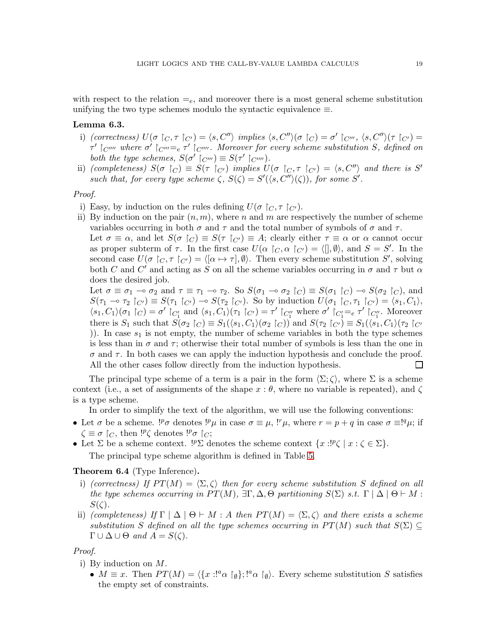with respect to the relation  $=$ <sub>e</sub>, and moreover there is a most general scheme substitution unifying the two type schemes modulo the syntactic equivalence  $\equiv$ .

# <span id="page-18-0"></span>Lemma 6.3.

- i) *(correctness)*  $U(\sigma \restriction_C, \tau \restriction_{C'}) = \langle s, C'' \rangle$  *implies*  $\langle s, C'' \rangle(\sigma \restriction_C) = \sigma' \restriction_{C'''}$ ,  $\langle s, C'' \rangle(\tau \restriction_{C'}) =$  $\tau'$   $\restriction_{C}$   $\ldots$  where  $\sigma'$   $\restriction_{C}$   $\ldots$   $\vdots$   $\tau'$   $\restriction_{C}$   $\ldots$   $\ldots$  Moreover for every scheme substitution S, defined on *both the type schemes,*  $S(\sigma' \restriction_{C'''}) \equiv S(\tau' \restriction_{C''''})$ *.*
- ii) *(completeness)*  $S(\sigma \restriction_C) \equiv S(\tau \restriction_{C'})$  *implies*  $U(\sigma \restriction_C, \tau \restriction_{C'}) = \langle s, C'' \rangle$  *and there is* S' such that, for every type scheme  $\zeta$ ,  $S(\zeta) = S'(\langle s, C'' \rangle(\zeta))$ , for some S'.

#### *Proof.*

- i) Easy, by induction on the rules defining  $U(\sigma \restriction_C, \tau \restriction_{C'})$ .
- ii) By induction on the pair  $(n, m)$ , where n and m are respectively the number of scheme variables occurring in both  $\sigma$  and  $\tau$  and the total number of symbols of  $\sigma$  and  $\tau$ .

Let  $\sigma \equiv \alpha$ , and let  $S(\sigma \upharpoonright_C) \equiv S(\tau \upharpoonright_{C'}) \equiv A$ ; clearly either  $\tau \equiv \alpha$  or  $\alpha$  cannot occur as proper subterm of  $\tau$ . In the first case  $U(\alpha \restriction_C, \alpha \restriction_{C'}) = \langle [ \, , \emptyset \rangle, \text{ and } S = S'$ . In the second case  $U(\sigma \restriction_C, \tau \restriction_{C'}) = \langle [\alpha \mapsto \tau], \emptyset \rangle$ . Then every scheme substitution S', solving both C and C' and acting as S on all the scheme variables occurring in  $\sigma$  and  $\tau$  but  $\alpha$ does the desired job.

Let  $\sigma \equiv \sigma_1 \multimap \sigma_2$  and  $\tau \equiv \tau_1 \multimap \tau_2$ . So  $S(\sigma_1 \multimap \sigma_2 |_{C}) \equiv S(\sigma_1 |_{C}) \multimap S(\sigma_2 |_{C})$ , and  $S(\tau_1 \multimap \tau_2 |_{C'}) \equiv S(\tau_1 |_{C'}) \multimap S(\tau_2 |_{C'})$ . So by induction  $U(\sigma_1 |_{C}, \tau_1 |_{C'}) = \langle s_1, C_1 \rangle$ ,  $\langle s_1, C_1 \rangle (\sigma_1 \upharpoonright_C) = \sigma' \upharpoonright_{C'_1}$  and  $\langle s_1, C_1 \rangle (\tau_1 \upharpoonright_{C'}) = \tau' \upharpoonright_{C''_1}$  where  $\sigma' \upharpoonright_{C''_1} = e \tau' \upharpoonright_{C''_1}$ . Moreover there is  $S_1$  such that  $S(\sigma_2 \upharpoonright_C) \equiv S_1(\langle s_1, C_1 \rangle (\sigma_2 \upharpoonright_C))$  and  $S(\tau_2 \upharpoonright_{C'}) \equiv S_1(\langle s_1, C_1 \rangle (\tau_2 \upharpoonright_{C'}$ )). In case  $s_1$  is not empty, the number of scheme variables in both the type schemes is less than in  $\sigma$  and  $\tau$ ; otherwise their total number of symbols is less than the one in  $\sigma$  and  $\tau$ . In both cases we can apply the induction hypothesis and conclude the proof. All the other cases follow directly from the induction hypothesis. П

The principal type scheme of a term is a pair in the form  $\langle \Sigma; \zeta \rangle$ , where  $\Sigma$  is a scheme context (i.e., a set of assignments of the shape  $x : \theta$ , where no variable is repeated), and  $\zeta$ is a type scheme.

In order to simplify the text of the algorithm, we will use the following conventions:

- Let  $\sigma$  be a scheme.  $l^p \sigma$  denotes  $l^p \mu$  in case  $\sigma \equiv \mu$ ,  $l^r \mu$ , where  $r = p + q$  in case  $\sigma \equiv l^q \mu$ ; if  $\zeta \equiv \sigma \restriction_C$ , then  ${}^{1p}\zeta$  denotes  ${}^{1p}\sigma \restriction_C$ ;
- Let  $\Sigma$  be a scheme context.  ${}^{1p}\Sigma$  denotes the scheme context  $\{x: {}^{1p}\zeta \mid x : \zeta \in \Sigma\}$ . The principal type scheme algorithm is defined in Table [5.](#page-19-0)

### Theorem 6.4 (Type Inference).

- i) *(correctness)* If  $PT(M) = \langle \Sigma, \zeta \rangle$  *then for every scheme substitution* S *defined on all the type schemes occurring in*  $PT(M)$ ,  $\exists \Gamma, \Delta, \Theta$  *partitioning*  $S(\Sigma)$  *s.t.*  $\Gamma | \Delta | \Theta \vdash M$ :  $S(\zeta)$ .
- ii) *(completeness)* If  $\Gamma | \Delta | \Theta \vdash M : A$  then  $PT(M) = \langle \Sigma, \zeta \rangle$  and there exists a scheme *substitution* S *defined on all the type schemes occurring in*  $PT(M)$  *such that*  $S(\Sigma) \subseteq$  $\Gamma \cup \Delta \cup \Theta$  *and*  $A = S(\zeta)$ .

# *Proof.*

- i) By induction on M.
	- $M \equiv x$ . Then  $PT(M) = \langle \{x : !^a \alpha \upharpoonright_{\emptyset} \} ; !^a \alpha \upharpoonright_{\emptyset} \rangle$ . Every scheme substitution S satisfies the empty set of constraints.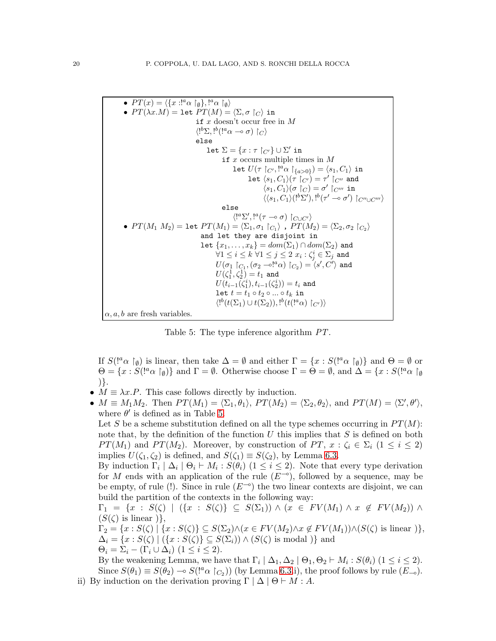```
• PT(x) = \langle \{x : !^a \alpha \upharpoonright_{\emptyset} \}, !^a \alpha \upharpoonright_{\emptyset} \rangle• PT(\lambda x.M) = let PT(M) = \langle \Sigma, \sigma | \rangle in
                                            if x doesn't occur free in M
                                             \langle!<sup>b</sup>\Sigma, !<sup>b</sup>(|^a \alpha - \sigma \sigma|) |c\rangleelse
                                                    let \Sigma = \{x : \tau \restriction_{C'}\} \cup \Sigma' in
                                                             if x occurs multiple times in Mlet U(\tau\restriction_{C'}, !^a\alpha\restriction_{\{a>0\}})=\langle s_1, C_1\rangle in
                                                                              let \langle s_1, C_1\rangle (\tau^{\hat{}}\restriction_{C'})= \tau'\restriction_{C''} and
                                                                                        \langle s_1, C_1\rangle (\sigma\restriction_C) = \sigma'\restriction_{C'''} \mathtt{in}\langle \langle s_1, C_1\rangle ({}^{!b}\Sigma'), {}^{!b}(\tau' \multimap \sigma') {\upharpoonright_{C'' \cup C'''}} \rangleelse
                                                                     \langle!^a\Sigma',!^a(\tau \multimap \sigma) \upharpoonright_{C\cup C'}• PT(M_1 M_2) = \texttt{let } PT(M_1) = \langle \Sigma_1, \sigma_1 \upharpoonright_{C_1} \rangle , PT(M_2) = \langle \Sigma_2, \sigma_2 \upharpoonright_{C_2} \rangleand let they are disjoint in
                                                let \{x_1, \ldots, x_k\} = dom(\Sigma_1) \cap dom(\Sigma_2) and
                                                          \forall 1 \leq i \leq k \; \forall 1 \leq j \leq 2 \; x_i : \zeta^i_j \in \Sigma_j and
                                                          U(\sigma_1\restriction_{C_1},(\sigma_2\rightharpoonup^{!a}\alpha)\restriction_{C_2})=\langle s',C'\rangle and
                                                          U(\zeta^1_1,\zeta^1_2)=t_1 and
                                                          U(t_{i-1}(\zeta_1^i),t_{i-1}(\zeta_2^i))=t_i and
                                                         let t = t_1 \circ t_2 \circ ... \circ t_k in
                                                          \langle !^b(t(\Sigma_1) \cup t(\Sigma_2)), !^b(t(!^a\alpha) \restriction_{C'}) \rangle\alpha, a, b are fresh variables.
```
<span id="page-19-0"></span>Table 5: The type inference algorithm *PT*.

If  $S(!\alpha \upharpoonright_{\emptyset})$  is linear, then take  $\Delta = \emptyset$  and either  $\Gamma = \{x : S(!\alpha \upharpoonright_{\emptyset})\}$  and  $\Theta = \emptyset$  or  $\Theta = \{x : S(!\^a \alpha \restriction_{\emptyset})\}$  and  $\Gamma = \emptyset$ . Otherwise choose  $\Gamma = \Theta = \emptyset$ , and  $\Delta = \{x : S(!\^a \alpha \restriction_{\emptyset} \mathbb{R})\}$ )}.

- $M \equiv \lambda x.P$ . This case follows directly by induction.
- $M \equiv M_1 M_2$ . Then  $PT(M_1) = \langle \Sigma_1, \theta_1 \rangle$ ,  $PT(M_2) = \langle \Sigma_2, \theta_2 \rangle$ , and  $PT(M) = \langle \Sigma', \theta' \rangle$ , where  $\theta'$  is defined as in Table [5.](#page-19-0) Let S be a scheme substitution defined on all the type schemes occurring in  $PT(M)$ : note that, by the definition of the function  $U$  this implies that  $S$  is defined on both  $PT(M_1)$  and  $PT(M_2)$ . Moreover, by construction of PT,  $x : \zeta_i \in \Sigma_i$   $(1 \leq i \leq 2)$ implies  $U(\zeta_1, \zeta_2)$  is defined, and  $S(\zeta_1) \equiv S(\zeta_2)$ , by Lemma [6.3.](#page-18-0) By induction  $\Gamma_i | \Delta_i | \Theta_i \vdash M_i : S(\theta_i)$   $(1 \leq i \leq 2)$ . Note that every type derivation for M ends with an application of the rule  $(E^{-\circ})$ , followed by a sequence, may be be empty, of rule (!). Since in rule  $(E^{-\circ})$  the two linear contexts are disjoint, we can build the partition of the contexts in the following way:  $\Gamma_1 = \{x : S(\zeta) \mid (\{x : S(\zeta)\}\subseteq S(\Sigma_1)) \wedge (x \in FV(M_1) \wedge x \notin FV(M_2)) \wedge$  $(S(\zeta)$  is linear  $),$  $\Gamma_2 = \{x : S(\zeta) \mid \{x : S(\zeta)\}\subseteq S(\Sigma_2) \wedge (x \in FV(M_2) \wedge x \notin FV(M_1)) \wedge (S(\zeta))$  is linear  $)\},$  $\Delta_i = \{x : S(\zeta) \mid (\{x : S(\zeta)\}\subseteq S(\Sigma_i)) \wedge (S(\zeta))$  is modal  $)\}$  and  $\Theta_i = \Sigma_i - (\Gamma_i \cup \Delta_i)$   $(1 \leq i \leq 2)$ . By the weakening Lemma, we have that  $\Gamma_i | \Delta_1, \Delta_2 | \Theta_1, \Theta_2 \vdash M_i : S(\theta_i)$   $(1 \leq i \leq 2)$ .
- Since  $S(\theta_1) \equiv S(\theta_2) \multimap S({}^{a} \alpha \upharpoonright_{C_2})$  (by Lemma [6.3.](#page-18-0)i), the proof follows by rule  $(E_{\multimap})$ . ii) By induction on the derivation proving  $\Gamma | \Delta | \Theta \vdash M : A$ .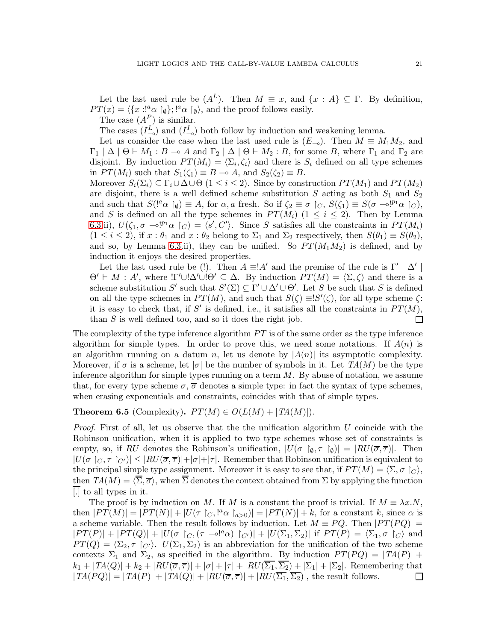Let the last used rule be  $(A^L)$ . Then  $M \equiv x$ , and  $\{x : A\} \subseteq \Gamma$ . By definition,  $PT(x) = \langle \{x : !_{\alpha}^{a} \cap \mathfrak{g} \} ; !^{a} \alpha \cap \mathfrak{g} \rangle$ , and the proof follows easily.

The case  $(A^P)$  is similar.

The cases  $(I_{\multimap}^{L})$  and  $(I_{\multimap}^{I})$  both follow by induction and weakening lemma.

Let us consider the case when the last used rule is  $(E_{\neg \circ})$ . Then  $M \equiv M_1 M_2$ , and  $\Gamma_1 | \Delta | \Theta \vdash M_1 : B \multimap A$  and  $\Gamma_2 | \Delta | \Theta \vdash M_2 : B$ , for some B, where  $\Gamma_1$  and  $\Gamma_2$  are disjoint. By induction  $PT(M_i) = \langle \Sigma_i, \zeta_i \rangle$  and there is  $S_i$  defined on all type schemes in  $PT(M_i)$  such that  $S_1(\zeta_1) \equiv B \multimap A$ , and  $S_2(\zeta_2) \equiv B$ .

Moreover  $S_i(\Sigma_i) \subseteq \Gamma_i \cup \Delta \cup \Theta$  ( $1 \leq i \leq 2$ ). Since by construction  $PT(M_1)$  and  $PT(M_2)$ are disjoint, there is a well defined scheme substitution S acting as both  $S_1$  and  $S_2$ and such that  $S(!\^a \alpha \upharpoonright_{\emptyset}) \equiv A$ , for  $\alpha, a$  fresh. So if  $\zeta_2 \equiv \sigma \upharpoonright_C$ ,  $S(\zeta_1) \equiv S(\sigma \neg \circ !^{p_1} \alpha \upharpoonright_C)$ , and S is defined on all the type schemes in  $PT(M_i)$  ( $1 \leq i \leq 2$ ). Then by Lemma [6.3.](#page-18-0)ii),  $U(\zeta_1, \sigma \setminus \mathbb{S}^n | \alpha \rangle = \langle s', C' \rangle$ . Since S satisfies all the constraints in  $PT(M_i)$  $(1 \leq i \leq 2)$ , if  $x : \theta_1$  and  $x : \theta_2$  belong to  $\Sigma_1$  and  $\Sigma_2$  respectively, then  $S(\theta_1) \equiv S(\theta_2)$ , and so, by Lemma [6.3.](#page-18-0)ii), they can be unified. So  $PT(M_1M_2)$  is defined, and by induction it enjoys the desired properties.

Let the last used rule be (!). Then  $A \equiv A'$  and the premise of the rule is  $\Gamma' | \Delta' |$  $\Theta' \vdash M : A'$ , where  $!\Gamma' \cup !\Delta' \cup !\Theta' \subseteq \Delta$ . By induction  $PT(M) = \langle \Sigma, \zeta \rangle$  and there is a scheme substitution S' such that  $S'(\Sigma) \subseteq \Gamma' \cup \Delta' \cup \Theta'$ . Let S be such that S is defined on all the type schemes in  $PT(M)$ , and such that  $S(\zeta) \equiv S'(\zeta)$ , for all type scheme  $\zeta$ : it is easy to check that, if S' is defined, i.e., it satisfies all the constraints in  $PT(M)$ , than S is well defined too, and so it does the right job.  $\Box$ 

The complexity of the type inference algorithm  $PT$  is of the same order as the type inference algorithm for simple types. In order to prove this, we need some notations. If  $A(n)$  is an algorithm running on a datum n, let us denote by  $|A(n)|$  its asymptotic complexity. Moreover, if  $\sigma$  is a scheme, let  $|\sigma|$  be the number of symbols in it. Let  $TA(M)$  be the type inference algorithm for simple types running on a term  $M$ . By abuse of notation, we assume that, for every type scheme  $\sigma$ ,  $\overline{\sigma}$  denotes a simple type: in fact the syntax of type schemes, when erasing exponentials and constraints, coincides with that of simple types.

# **Theorem 6.5** (Complexity).  $PT(M) \in O(L(M) + |TA(M)|)$ .

*Proof.* First of all, let us observe that the the unification algorithm U coincide with the Robinson unification, when it is applied to two type schemes whose set of constraints is empty, so, if RU denotes the Robinson's unification,  $|U(\sigma |_{\emptyset}, \tau |_{\emptyset})| = |RU(\overline{\sigma}, \overline{\tau})|$ . Then  $|U(\sigma \upharpoonright_{C}, \tau \upharpoonright_{C'})| \leq |RU(\overline{\sigma}, \overline{\tau})| + |\sigma| + |\tau|$ . Remember that Robinson unification is equivalent to the principal simple type assignment. Moreover it is easy to see that, if  $PT(M) = \langle \Sigma, \sigma \rangle$ , then  $TA(M) = \langle \overline{\Sigma}, \overline{\sigma} \rangle$ , when  $\overline{\Sigma}$  denotes the context obtained from  $\Sigma$  by applying the function [.] to all types in it.

The proof is by induction on M. If M is a constant the proof is trivial. If  $M \equiv \lambda x.N$ , then  $|PT(M)| = |PT(N)| + |U(\tau) \circ_{\mathcal{C}} N^a \circ_{a>0}| = |PT(N)| + k$ , for a constant k, since  $\alpha$  is a scheme variable. Then the result follows by induction. Let  $M \equiv PQ$ . Then  $|PT(PQ)| =$  $|PT(P)|+|PT(Q)|+|U(\sigma \upharpoonright_C, (\tau \multimap !^a \alpha) \upharpoonright_{C'})|+|U(\Sigma_1, \Sigma_2)|$  if  $PT(P)|=\langle \Sigma_1, \sigma \upharpoonright_C \rangle$  and  $PT(Q) = \langle \Sigma_2, \tau \rangle$ :  $U(\Sigma_1, \Sigma_2)$  is an abbreviation for the unification of the two scheme contexts  $\Sigma_1$  and  $\Sigma_2$ , as specified in the algorithm. By induction  $PT(PQ) = |TA(P)| +$  $k_1 + |TA(Q)| + k_2 + |RU(\overline{\sigma}, \overline{\tau})| + |\sigma| + |\tau| + |RU(\overline{\Sigma_1}, \overline{\Sigma_2}) + |\Sigma_1| + |\Sigma_2|$ . Remembering that  $|TA(PQ)| = |TA(P)| + |TA(Q)| + |RU(\overline{\sigma}, \overline{\tau})| + |RU(\overline{\Sigma_1}, \overline{\Sigma_2})|$ , the result follows.  $\Box$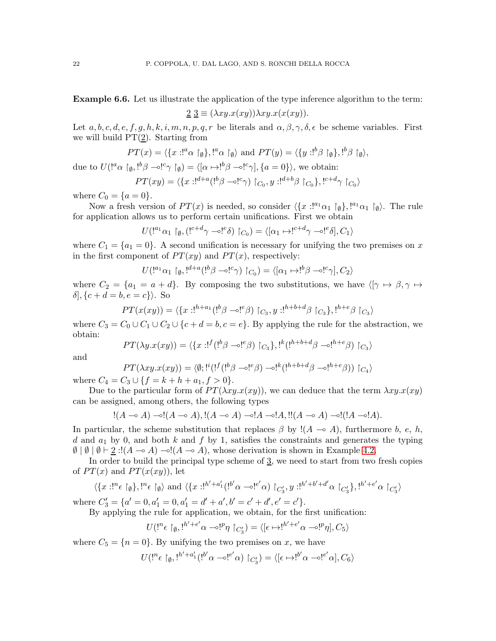Example 6.6. Let us illustrate the application of the type inference algorithm to the term:

$$
\underline{2} \underline{3} \equiv (\lambda xy. x(xy)) \lambda xy. x(x(xy)).
$$

Let  $a, b, c, d, e, f, g, h, k, i, m, n, p, q, r$  be literals and  $\alpha, \beta, \gamma, \delta, \epsilon$  be scheme variables. First we will build  $PT(2)$ . Starting from

$$
PT(x) = \langle \{x : f^a \alpha \upharpoonright_{\emptyset} \}, f^a \alpha \upharpoonright_{\emptyset} \rangle \text{ and } PT(y) = \langle \{y : f^b \beta \upharpoonright_{\emptyset} \}, f^b \beta \upharpoonright_{\emptyset} \rangle,
$$

due to  $U({}^{a} \alpha \upharpoonright_{\emptyset} , {}^{b} \beta \multimap {}^{c} \gamma \upharpoonright_{\emptyset}) = \langle [\alpha \mapsto {}^{b} \beta \multimap {}^{c} \gamma], \{a = 0\} \rangle$ , we obtain:

$$
PT(xy) = \langle \{x : x^{d+a}(\cdot^b \beta - \circ x^{c}) \mid C_0, y : x^{d+b} \beta \mid C_0 \}, x^{d+d} \gamma \mid C_0 \rangle
$$

where  $C_0 = \{a = 0\}.$ 

Now a fresh version of  $PT(x)$  is needed, so consider  $\langle \{x : !^{a_1}\alpha_1 \upharpoonright_{\emptyset} \}, !^{a_1}\alpha_1 \upharpoonright_{\emptyset} \rangle$ . The rule for application allows us to perform certain unifications. First we obtain

$$
U(!^{a_1}\alpha_1 \upharpoonright_{\emptyset}, (!^{c+d}\gamma \multimap !^{e}\delta) \upharpoonright_{C_0}) = \langle [\alpha_1 \mapsto !^{c+d}\gamma \multimap !^{e}\delta], C_1 \rangle
$$

where  $C_1 = \{a_1 = 0\}$ . A second unification is necessary for unifying the two premises on x in the first component of  $PT(xy)$  and  $PT(x)$ , respectively:

$$
U(!^{a_1}\alpha_1 \upharpoonright_{\emptyset},!^{d+a} (!^{b}\beta \multimap !^{c}\gamma) \upharpoonright_{C_0}) = \langle [\alpha_1 \mapsto !^{b}\beta \multimap !^{c}\gamma], C_2 \rangle
$$

where  $C_2 = \{a_1 = a + d\}$ . By composing the two substitutions, we have  $\langle \gamma \mapsto \beta, \gamma \mapsto \gamma \rangle$  $\delta$ ,  $\{c + d = b, e = c\}$ . So

$$
PT(x(xy)) = \langle \{x : !^{h+a_1}({!}^b \beta \multimap !^e \beta) \upharpoonright_{C_3}, y : !^{h+b+d} \beta \upharpoonright_{C_3} \}, !^{h+e} \beta \upharpoonright_{C_3} \rangle
$$

where  $C_3 = C_0 \cup C_1 \cup C_2 \cup \{c + d = b, c = e\}$ . By applying the rule for the abstraction, we obtain:

$$
PT(\lambda y.x(xy)) = \langle \{x : !^f(1^b \beta \multimap !^e \beta) \upharpoonright_{C_3}\}, !^k(1^{h+b+d} \beta \multimap !^{h+e} \beta) \upharpoonright_{C_3}\rangle
$$

and

$$
PT(\lambda xy.x(xy)) = \langle \emptyset; !^{i} (!^{f} (!^{b} \beta - \circ !^{e} \beta) - \circ !^{k} (!^{h+b+d} \beta - \circ !^{h+e} \beta)) \upharpoonright_{C_4} \rangle
$$
  
where  $C_4 = C_3 \cup \{f = k + h + a_1, f > 0\}.$ 

Due to the particular form of  $PT(\lambda xy.x(xy))$ , we can deduce that the term  $\lambda xy.x(xy)$ can be assigned, among others, the following types

$$
!(A \multimap A) \multimap!(A \multimap A), \cdot | (A \multimap A) \multimap! A \multimap! A, \cdot || (A \multimap A) \multimap! (A \multimap! A).
$$

In particular, the scheme substitution that replaces  $\beta$  by !(A – $\alpha$  A), furthermore b, e, h, d and  $a_1$  by 0, and both k and f by 1, satisfies the constraints and generates the typing  $\emptyset | \emptyset | \emptyset | \emptyset \vdash \underline{2} : !(A \multimap A) \multimap !(A \multimap A),$  whose derivation is shown in Example [4.2.](#page-6-1)

In order to build the principal type scheme of  $\frac{3}{2}$ , we need to start from two fresh copies of  $PT(x)$  and  $PT(x(xy))$ , let

$$
\langle \{x : !^{n_{\varepsilon}} \upharpoonright_{\emptyset} \}, !^{n_{\varepsilon}} \upharpoonright_{\emptyset} \rangle \text{ and } \langle \{x : !^{h'+a'_{1}}(!^{b'}\alpha \multimap !^{e'}\alpha) \upharpoonright_{C'_{3}}, y : !^{h'+b'+d'}\alpha \upharpoonright_{C'_{3}} \}, !^{h'+e'}\alpha \upharpoonright_{C'_{3}} \rangle
$$

where  $C'_3 = \{a' = 0, a'_1 = 0, a'_1 = d' + a', b' = c' + d', e' = c'\}.$ 

By applying the rule for application, we obtain, for the first unification:

$$
U({}^{n}\epsilon \upharpoonright_{\emptyset}, {}^{h'+e'}\alpha - \circ {}^{p}\eta \upharpoonright_{C'_3}) = \langle [\epsilon \mapsto {}^{h'+e'}\alpha - \circ {}^{p}\eta], C_5 \rangle
$$

where  $C_5 = \{n = 0\}$ . By unifying the two premises on x, we have

$$
U(
$$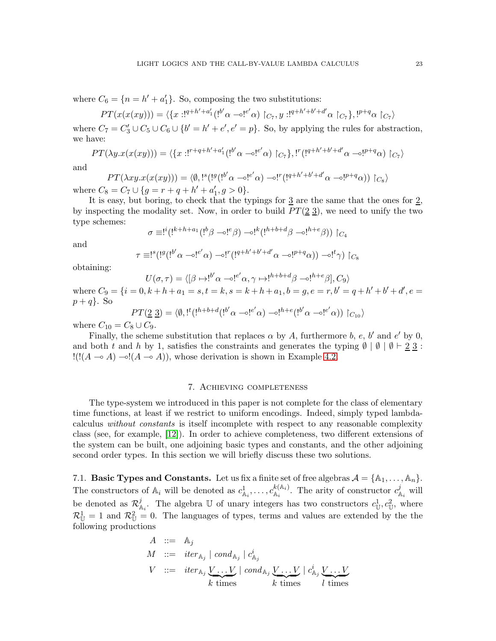where  $C_6 = \{n = h' + a'_1\}$ . So, composing the two substitutions:

$$
PT(x(x(xy))) = \langle \{x : 1^{q+h'+a'_1}(1^{b'}\alpha \multimap !^{e'}\alpha) \upharpoonright_{C_7}, y : 1^{q+h'+b'+d'}\alpha \upharpoonright_{C_7}\}, 1^{p+q}\alpha \upharpoonright_{C_7}\rangle
$$

where  $C_7 = C'_3 \cup C_5 \cup C_6 \cup \{b' = h' + e', e' = p\}$ . So, by applying the rules for abstraction, we have:

$$
PT(\lambda y. x(x(xy))) = \langle \{x : !^{r+q+h'+a'_1} (!^{b'}\alpha \multimap !^{e'}\alpha) \upharpoonright_{C_7} \}, !^r (!^{q+h'+b'+d'}\alpha \multimap !^{p+q}\alpha) \upharpoonright_{C_7} \rangle
$$

and

$$
PT(\lambda xy. x(x(xy))) = \langle \emptyset, !^s (!^g (!^{b'} \alpha \multimap !^{e'} \alpha) \multimap !^r (!^{q+h'+b'+d'} \alpha \multimap !^{p+q} \alpha)) \upharpoonright_{C_8} \rangle
$$
  
where  $C_8 = C_7 \cup \{ g = r + q + h' + a'_1, g > 0 \}.$ 

It is easy, but boring, to check that the typings for  $\underline{3}$  are the same that the ones for  $\underline{2}$ , by inspecting the modality set. Now, in order to build  $PT(2\,3)$ , we need to unify the two type schemes:

$$
\sigma \equiv !^{i} (!^{k+h+a_1} (!^{b} \beta \multimap !^{e} \beta) \multimap !^{k} (!^{h+b+d} \beta \multimap !^{h+e} \beta)) \upharpoonright_{C_4}
$$

and

$$
\tau \equiv !^{s} (!^{g} (!^{b'} \alpha - \circ !^{e'} \alpha) - \circ !^{r} (!^{q+h'+b'+d'} \alpha - \circ !^{p+q} \alpha)) - \circ !^{t} \gamma) \upharpoonright_{C_{8}}
$$

obtaining:

$$
U(\sigma, \tau) = \langle [\beta \mapsto !^{b'} \alpha - \circ !^{e'} \alpha, \gamma \mapsto !^{h+b+d} \beta - \circ !^{h+e} \beta], C_9 \rangle
$$

where  $C_9 = \{i = 0, k + h + a_1 = s, t = k, s = k + h + a_1, b = g, e = r, b' = q + h' + b' + d', e =$  $p+q$ . So

$$
PT(\underline{2}\ \underline{3}) = \langle \emptyset, !^t(!^{h+b+d}({!^{b'}\alpha - \circ !^{e'}\alpha}) - \circ !^{h+e}(!^{b'}\alpha - \circ !^{e'}\alpha)) \upharpoonright_{C_{10}} \rangle
$$

where  $C_{10} = C_8 \cup C_9$ .

Finally, the scheme substitution that replaces  $\alpha$  by A, furthermore b, e, b' and e' by 0, and both t and h by 1, satisfies the constraints and generates the typing  $\emptyset$  |  $\emptyset$  |  $\emptyset$  |  $\emptyset$  |  $\emptyset$  |  $\emptyset$  |  $\emptyset$  |  $\emptyset$  |  $\emptyset$  |  $\emptyset$  |  $\emptyset$  |  $\emptyset$  |  $\emptyset$  |  $\emptyset$  |  $\emptyset$  |  $\emptyset$  |  $\emptyset$  |  $\emptyset$  |  $\empty$  $!([A \multimap A) \multimap (A \multimap A)),$  whose derivation is shown in Example [4.2.](#page-6-1)

### 7. Achieving completeness

<span id="page-22-0"></span>The type-system we introduced in this paper is not complete for the class of elementary time functions, at least if we restrict to uniform encodings. Indeed, simply typed lambdacalculus *without constants* is itself incomplete with respect to any reasonable complexity class (see, for example, [\[12\]](#page-26-13)). In order to achieve completeness, two different extensions of the system can be built, one adjoining basic types and constants, and the other adjoining second order types. In this section we will briefly discuss these two solutions.

7.1. Basic Types and Constants. Let us fix a finite set of free algebras  $A = \{A_1, \ldots, A_n\}$ . The constructors of  $\mathbb{A}_i$  will be denoted as  $c^1_{\mathbb{A}_i}, \ldots, c^{k(\mathbb{A}_i)}_{\mathbb{A}_i}$  $k_{\mathbb{A}_i}^{(A_i)}$ . The arity of constructor  $c_{\mathbb{A}_i}^j$  will be denoted as  $\mathcal{R}_{\mathbb{A}_i}^j$ . The algebra U of unary integers has two constructors  $c^1_{\mathbb{U}}, c^2_{\mathbb{U}},$  where  $\mathcal{R}_{\mathbb{U}}^1 = 1$  and  $\mathcal{R}_{\mathbb{U}}^2 = 0$ . The languages of types, terms and values are extended by the the following productions

$$
A ::= A_j
$$
  
\n
$$
M ::= iter_{A_j} | cond_{A_j} | c_{A_j}^i
$$
  
\n
$$
V ::= iter_{A_j} \underbrace{V...V}_{k \text{ times}} | cond_{A_j} \underbrace{V...V}_{k \text{ times}} | c_{A_j}^i \underbrace{V...V}_{l \text{ times}}
$$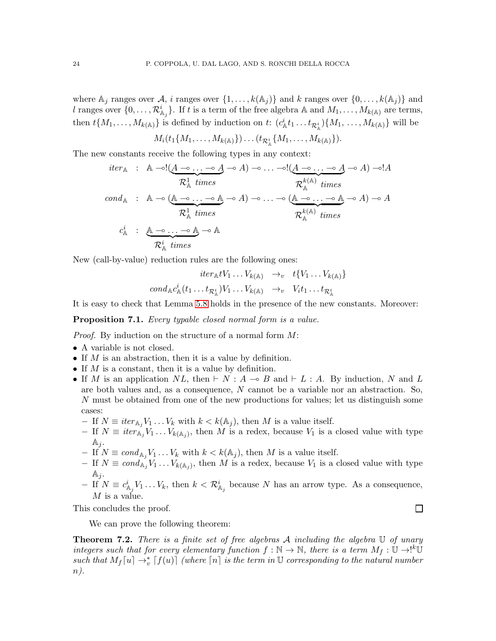where  $\mathbb{A}_j$  ranges over  $\mathcal{A}_j$ , i ranges over  $\{1, \ldots, k(\mathbb{A}_j)\}\$  and k ranges over  $\{0, \ldots, k(\mathbb{A}_j)\}\$  and l ranges over  $\{0,\ldots,\mathcal{R}_{\mathbb{A}_{j}}^{i}\}$ . If t is a term of the free algebra A and  $M_1,\ldots,M_{k(\mathbb{A})}$  are terms, then  $t\{M_1,\ldots,M_{k(\mathbb{A})}\}\)$  is defined by induction on  $t: (c^i_{\mathbb{A}}t_1 \ldots t_{\mathcal{R}^i_{\mathbb{A}}})\{M_1,\ldots,M_{k(\mathbb{A})}\}\$  will be

 $M_i(t_1\{M_1, \ldots, M_{k({\mathbb A})}\}) \ldots (t_{\mathcal{R}^i_{{\mathbb A}}}\{M_1, \ldots, M_{k({\mathbb A})}\}).$ 

The new constants receive the following types in any context:

$$
iter_{\mathbb{A}} : \mathbb{A} \rightarrow !(\underbrace{A \rightarrow \dots \rightarrow A}_{\mathcal{R}_{\mathbb{A}}^1 \text{ times}} \rightarrow A) \rightarrow \dots \rightarrow !(\underbrace{A \rightarrow \dots \rightarrow A}_{\mathcal{R}_{\mathbb{A}}^k \text{ times}} \rightarrow A) \rightarrow !A
$$
\n
$$
cond_{\mathbb{A}} : \mathbb{A} \rightarrow (\underbrace{\mathbb{A} \rightarrow \dots \rightarrow \mathbb{A}}_{\mathcal{R}_{\mathbb{A}}^1 \text{ times}} \rightarrow A) \rightarrow \dots \rightarrow (\underbrace{\mathbb{A} \rightarrow \dots \rightarrow \mathbb{A}}_{\mathcal{R}_{\mathbb{A}}^k \text{ times}} \rightarrow A) \rightarrow A
$$
\n
$$
c_{\mathbb{A}}^i : \underbrace{\mathbb{A} \rightarrow \dots \rightarrow \mathbb{A}}_{\mathcal{R}_{\mathbb{A}}^i \text{ times}} \rightarrow \mathbb{A}
$$

New (call-by-value) reduction rules are the following ones:

$$
iter_{\mathbb{A}} tV_1 \dots V_{k(\mathbb{A})} \rightarrow_v t\{V_1 \dots V_{k(\mathbb{A})}\}
$$

$$
cond_{\mathbb{A}} c_{\mathbb{A}}^i(t_1 \dots t_{\mathcal{R}_{\mathbb{A}}^i}) V_1 \dots V_{k(\mathbb{A})} \rightarrow_v V_i t_1 \dots t_{\mathcal{R}_{\mathbb{A}}^i}
$$

It is easy to check that Lemma [5.8](#page-11-2) holds in the presence of the new constants. Moreover:

Proposition 7.1. *Every typable closed normal form is a value.*

*Proof.* By induction on the structure of a normal form M:

- A variable is not closed.
- If  $M$  is an abstraction, then it is a value by definition.
- If  $M$  is a constant, then it is a value by definition.
- If M is an application  $NL$ , then  $\vdash N : A \multimap B$  and  $\vdash L : A$ . By induction, N and L are both values and, as a consequence, N cannot be a variable nor an abstraction. So, N must be obtained from one of the new productions for values; let us distinguish some cases:
	- $-$  If  $N \equiv iter_{\mathbb{A}_j} V_1 \ldots V_k$  with  $k < k(\mathbb{A}_j)$ , then M is a value itself.
	- $-$  If  $N \equiv iter_{\mathbb{A}_j} V_1 \dots V_{k(\mathbb{A}_j)}$ , then M is a redex, because  $V_1$  is a closed value with type  $\mathbb{A}_i$ .
	- $-I \in \overline{N} \equiv cond_{\mathbb{A}_j} V_1 \ldots V_k$  with  $k < k(\mathbb{A}_j)$ , then M is a value itself.
	- $-$  If  $N \equiv cond_{\mathbb{A}_j} V_1 \ldots V_{k(\mathbb{A}_j)}$ , then M is a redex, because  $V_1$  is a closed value with type  $\mathbb{A}_j$ .
	- $-I$  if  $N \equiv c_{\mathbb{A}_j}^i V_1 \ldots V_k$ , then  $k < \mathcal{R}_{\mathbb{A}_j}^i$  because N has an arrow type. As a consequence,  $M$  is a value.

This concludes the proof.

We can prove the following theorem:

Theorem 7.2. *There is a finite set of free algebras* A *including the algebra* U *of unary integers such that for every elementary function*  $f : \mathbb{N} \to \mathbb{N}$ *, there is a term*  $M_f : \mathbb{U} \to \mathbb{N}$ such that  $M_f[u] \to_{v}^{*} [f(u)]$  (where  $[n]$  is the term in U corresponding to the natural number n*).*

 $\Box$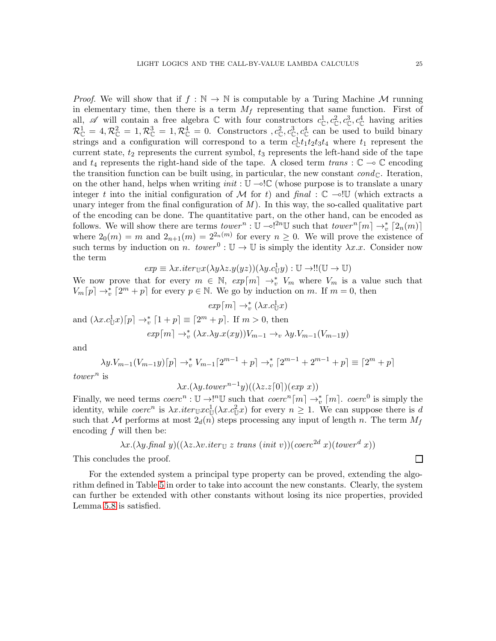$\Box$ 

*Proof.* We will show that if  $f : \mathbb{N} \to \mathbb{N}$  is computable by a Turing Machine M running in elementary time, then there is a term  $M_f$  representing that same function. First of all,  $\mathscr A$  will contain a free algebra  $\mathbb C$  with four constructors  $c^1_{\mathbb C}, c^2_{\mathbb C}, c^3_{\mathbb C}, c^4_{\mathbb C}$  having arities  $\mathcal{R}_{\mathbb{C}}^1 = 4, \mathcal{R}_{\mathbb{C}}^2 = 1, \mathcal{R}_{\mathbb{C}}^3 = 1, \mathcal{R}_{\mathbb{C}}^4 = 0.$  Constructors  $,c_{\mathbb{C}}^2, c_{\mathbb{C}}^3, c_{\mathbb{C}}^4$  can be used to build binary strings and a configuration will correspond to a term  $c_{\mathbb{C}}^1 t_1 t_2 t_3 t_4$  where  $t_1$  represent the current state,  $t_2$  represents the current symbol,  $t_3$  represents the left-hand side of the tape and  $t_4$  represents the right-hand side of the tape. A closed term  $trans : \mathbb{C} \to \mathbb{C}$  encoding the transition function can be built using, in particular, the new constant  $cond_{\mathbb{C}}$ . Iteration, on the other hand, helps when writing *init* : U ⊸!C (whose purpose is to translate a unary integer t into the initial configuration of M for t) and  $\text{final} : \mathbb{C} \rightarrow \mathbb{U}$  (which extracts a unary integer from the final configuration of  $M$ ). In this way, the so-called qualitative part of the encoding can be done. The quantitative part, on the other hand, can be encoded as follows. We will show there are terms  $tower^n : \mathbb{U} \rightarrow !^{2n} \mathbb{U}$  such that  $tower^n[m] \rightarrow_v^* [2_n(m)]$ where  $2_0(m) = m$  and  $2_{n+1}(m) = 2^{2_n(m)}$  for every  $n \geq 0$ . We will prove the existence of such terms by induction on n.  $tower^0: \mathbb{U} \to \mathbb{U}$  is simply the identity  $\lambda x.x$ . Consider now the term

 $exp \equiv \lambda x. iter_{\mathbb{U}} x(\lambda y \lambda z. y(yz))(\lambda y. c_{\mathbb{U}}^1 y) : \mathbb{U} \rightarrow \mathbb{U}(\mathbb{U} \rightarrow \mathbb{U})$ 

We now prove that for every  $m \in \mathbb{N}$ ,  $exp[m] \rightarrow_v^* V_m$  where  $V_m$  is a value such that  $V_m[p] \to_v^* [2^m + p]$  for every  $p \in \mathbb{N}$ . We go by induction on m. If  $m = 0$ , then

$$
exp[m] \rightarrow_v^* (\lambda x.c_{\mathbb{U}}^1 x)
$$
  
and  $(\lambda x.c_{\mathbb{U}}^1 x)[p] \rightarrow_v^* [1+p] \equiv [2^m + p]$ . If  $m > 0$ , then  

$$
exp[m] \rightarrow_v^* (\lambda x.\lambda y.x(xy))V_{m-1} \rightarrow_v \lambda y.V_{m-1}(V_{m-1}y)
$$

and

$$
\lambda y. V_{m-1}(V_{m-1}y)[p] \to_v^* V_{m-1}[2^{m-1} + p] \to_v^* [2^{m-1} + 2^{m-1} + p] \equiv [2^m + p]
$$

 $tower^n$  is

$$
\lambda x.(\lambda y. tower^{n-1}y)((\lambda z. z[0])(exp\ x))
$$

Finally, we need terms  $coerc^n : \mathbb{U} \to \infty^{\{n\}}$  such that  $coerc^n[m] \to_{v}^{\{n\}}[m]$ .  $coerc^0$  is simply the identity, while  $coerc^n$  is  $\lambda x. iter_{\mathbb{U}} x c_{\mathbb{U}}^1(\lambda x. c_{\mathbb{U}}^2 x)$  for every  $n \geq 1$ . We can suppose there is d such that M performs at most  $2_d(n)$  steps processing any input of length n. The term  $M_f$ encoding  $f$  will then be:

$$
\lambda x.(\lambda y. \text{final } y)((\lambda z. \lambda v. \text{iter}_{\mathbb{U}} z \text{ trans } (\text{init } v))(\text{coerc}^{2d} x)(\text{lower}^d x))
$$

This concludes the proof.

For the extended system a principal type property can be proved, extending the algorithm defined in Table [5](#page-19-0) in order to take into account the new constants. Clearly, the system can further be extended with other constants without losing its nice properties, provided Lemma [5.8](#page-11-2) is satisfied.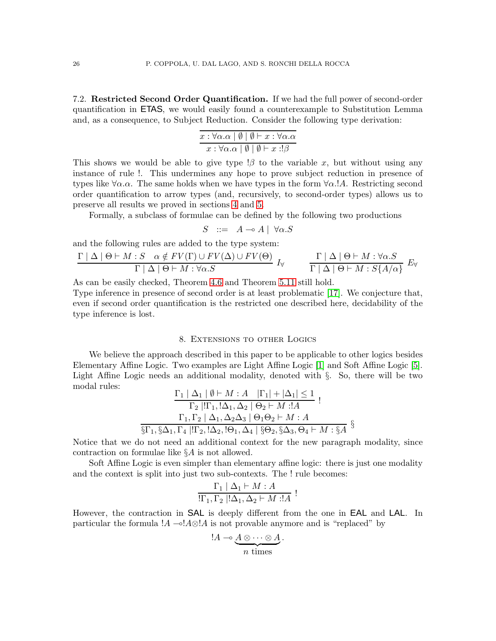7.2. Restricted Second Order Quantification. If we had the full power of second-order quantification in ETAS, we would easily found a counterexample to Substitution Lemma and, as a consequence, to Subject Reduction. Consider the following type derivation:

| $x : \forall \alpha \ldotp \alpha \mid \emptyset \mid \emptyset \vdash x : \forall \alpha \ldotp \alpha$ |  |  |
|----------------------------------------------------------------------------------------------------------|--|--|
| $x : \forall \alpha \ldotp \alpha \mid \emptyset \mid \emptyset \vdash x : !\beta$                       |  |  |

This shows we would be able to give type  $\beta$  to the variable x, but without using any instance of rule !. This undermines any hope to prove subject reduction in presence of types like  $\forall \alpha \ldotp \alpha$ . The same holds when we have types in the form  $\forall \alpha \ldotp \ldotp A$ . Restricting second order quantification to arrow types (and, recursively, to second-order types) allows us to preserve all results we proved in sections [4](#page-5-0) and [5.](#page-10-0)

Formally, a subclass of formulae can be defined by the following two productions

$$
S \ ::= \ A \multimap A \mid \ \forall \alpha . S
$$

and the following rules are added to the type system:

$$
\frac{\Gamma | \Delta | \Theta \vdash M : S \quad \alpha \notin FV(\Gamma) \cup FV(\Delta) \cup FV(\Theta)}{\Gamma | \Delta | \Theta \vdash M : \forall \alpha . S} I_{\forall} \qquad \frac{\Gamma | \Delta | \Theta \vdash M : \forall \alpha . S}{\Gamma | \Delta | \Theta \vdash M : S\{A/\alpha\}} E_{\forall}
$$

As can be easily checked, Theorem [4.6](#page-9-0) and Theorem [5.11](#page-15-1) still hold.

Type inference in presence of second order is at least problematic [\[17\]](#page-27-3). We conjecture that, even if second order quantification is the restricted one described here, decidability of the type inference is lost.

#### 8. Extensions to other Logics

<span id="page-25-0"></span>We believe the approach described in this paper to be applicable to other logics besides Elementary Affine Logic. Two examples are Light Affine Logic [\[1\]](#page-26-1) and Soft Affine Logic [\[5\]](#page-26-8). Light Affine Logic needs an additional modality, denoted with §. So, there will be two modal rules:

$$
\frac{\Gamma_1 | \Delta_1 | \emptyset \vdash M : A \quad |\Gamma_1| + |\Delta_1| \le 1}{\Gamma_2 |!\Gamma_1,!\Delta_1,\Delta_2 | \Theta_2 \vdash M :!A}
$$
\n
$$
\frac{\Gamma_1, \Gamma_2 | \Delta_1, \Delta_2\Delta_3 | \Theta_1\Theta_2 \vdash M : A}{\S\Gamma_1, \S\Delta_1, \Gamma_4 |!\Gamma_2,!\Delta_2,!\Theta_1, \Delta_4 | \S\Theta_2, \S\Delta_3, \Theta_4 \vdash M : \S A} \S
$$

Notice that we do not need an additional context for the new paragraph modality, since contraction on formulae like §A is not allowed.

Soft Affine Logic is even simpler than elementary affine logic: there is just one modality and the context is split into just two sub-contexts. The ! rule becomes:

$$
\frac{\Gamma_1 \mid \Delta_1 \vdash M : A}{\left(\Gamma_1, \Gamma_2 \mid \Delta_1, \Delta_2 \vdash M : A\right)} :
$$

However, the contraction in SAL is deeply different from the one in EAL and LAL. In particular the formula ! $A \rightarrow A \otimes A$  is not provable anymore and is "replaced" by

$$
\mathop{!A\rightarrow\infty}\frac{A\otimes\cdots\otimes A}{n\text{ times}}.
$$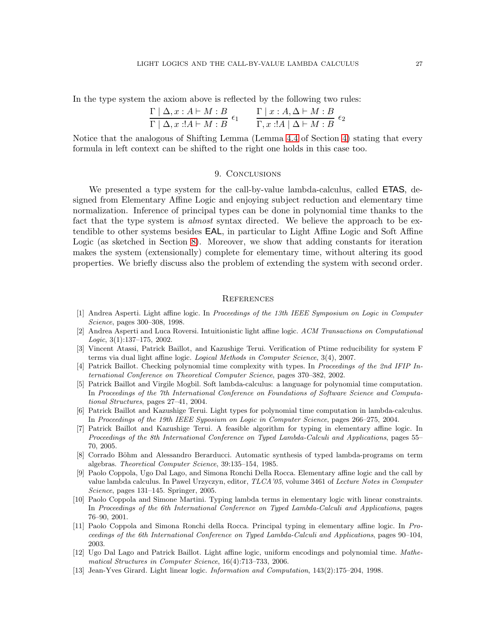In the type system the axiom above is reflected by the following two rules:

$$
\frac{\Gamma | \Delta, x:A \vdash M:B}{\Gamma | \Delta, x:!A \vdash M:B} \epsilon_1 \qquad \frac{\Gamma | x:A,\Delta \vdash M:B}{\Gamma, x:!A \mid \Delta \vdash M:B} \epsilon_2
$$

<span id="page-26-10"></span>Notice that the analogous of Shifting Lemma (Lemma [4.4](#page-7-1) of Section [4\)](#page-5-0) stating that every formula in left context can be shifted to the right one holds in this case too.

### 9. CONCLUSIONS

We presented a type system for the call-by-value lambda-calculus, called **ETAS**, designed from Elementary Affine Logic and enjoying subject reduction and elementary time normalization. Inference of principal types can be done in polynomial time thanks to the fact that the type system is *almost* syntax directed. We believe the approach to be extendible to other systems besides EAL, in particular to Light Affine Logic and Soft Affine Logic (as sketched in Section [8\)](#page-25-0). Moreover, we show that adding constants for iteration makes the system (extensionally) complete for elementary time, without altering its good properties. We briefly discuss also the problem of extending the system with second order.

### **REFERENCES**

- <span id="page-26-1"></span>[1] Andrea Asperti. Light affine logic. In Proceedings of the 13th IEEE Symposium on Logic in Computer Science, pages 300–308, 1998.
- <span id="page-26-2"></span>[2] Andrea Asperti and Luca Roversi. Intuitionistic light affine logic. ACM Transactions on Computational Logic, 3(1):137–175, 2002.
- <span id="page-26-11"></span>[3] Vincent Atassi, Patrick Baillot, and Kazushige Terui. Verification of Ptime reducibility for system F terms via dual light affine logic. Logical Methods in Computer Science, 3(4), 2007.
- <span id="page-26-7"></span>[4] Patrick Baillot. Checking polynomial time complexity with types. In Proceedings of the 2nd IFIP International Conference on Theoretical Computer Science, pages 370–382, 2002.
- <span id="page-26-8"></span>[5] Patrick Baillot and Virgile Mogbil. Soft lambda-calculus: a language for polynomial time computation. In Proceedings of the 7th International Conference on Foundations of Software Science and Computational Structures, pages 27–41, 2004.
- <span id="page-26-3"></span>[6] Patrick Baillot and Kazushige Terui. Light types for polynomial time computation in lambda-calculus. In Proceedings of the 19th IEEE Syposium on Logic in Computer Science, pages 266–275, 2004.
- <span id="page-26-6"></span>[7] Patrick Baillot and Kazushige Terui. A feasible algorithm for typing in elementary affine logic. In Proceedings of the 8th International Conference on Typed Lambda-Calculi and Applications, pages 55– 70, 2005.
- <span id="page-26-12"></span>[8] Corrado Böhm and Alessandro Berarducci. Automatic synthesis of typed lambda-programs on term algebras. Theoretical Computer Science, 39:135–154, 1985.
- <span id="page-26-9"></span>[9] Paolo Coppola, Ugo Dal Lago, and Simona Ronchi Della Rocca. Elementary affine logic and the call by value lambda calculus. In Pawel Urzyczyn, editor, TLCA'05, volume 3461 of Lecture Notes in Computer Science, pages 131–145. Springer, 2005.
- <span id="page-26-4"></span>[10] Paolo Coppola and Simone Martini. Typing lambda terms in elementary logic with linear constraints. In Proceedings of the 6th International Conference on Typed Lambda-Calculi and Applications, pages 76–90, 2001.
- <span id="page-26-5"></span>[11] Paolo Coppola and Simona Ronchi della Rocca. Principal typing in elementary affine logic. In Proceedings of the 6th International Conference on Typed Lambda-Calculi and Applications, pages 90–104, 2003.
- <span id="page-26-13"></span>[12] Ugo Dal Lago and Patrick Baillot. Light affine logic, uniform encodings and polynomial time. Mathematical Structures in Computer Science, 16(4):713–733, 2006.
- <span id="page-26-0"></span>[13] Jean-Yves Girard. Light linear logic. Information and Computation, 143(2):175–204, 1998.